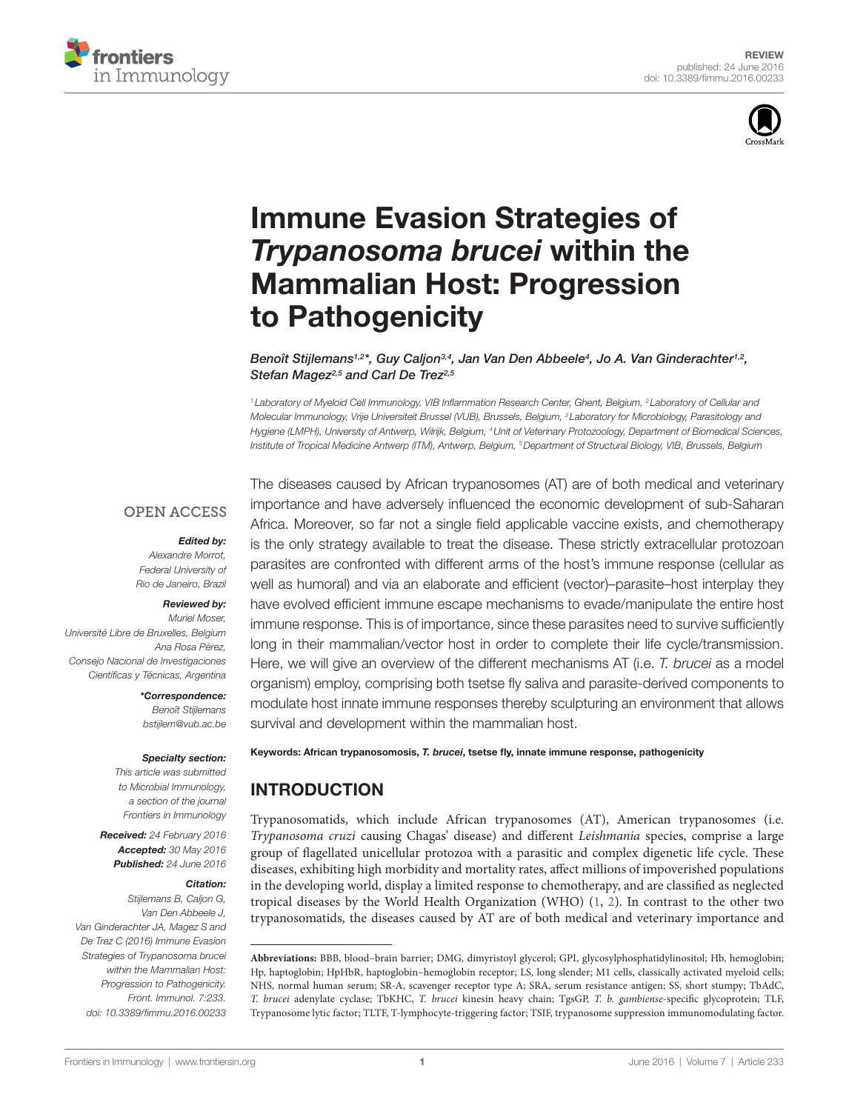



# **Immune Evasion Strategies of Trypanosoma brucei within the Mammalian Host: Progression** to Pathogenicity

*[Benoît Stijlemans](http://loop.frontiersin.org/people/108970/overview)1,2\*, [Guy Caljon](http://loop.frontiersin.org/people/325070/overview)3,4, [Jan Van Den Abbeele4](http://loop.frontiersin.org/people/73998/overview) , [Jo A. Van Ginderachter1](http://loop.frontiersin.org/people/132941/overview),2, Stefan Magez2,5 and [Carl De Trez](http://loop.frontiersin.org/people/324991/overview)2,5*

*<sup>1</sup> Laboratory of Myeloid Cell Immunology, VIB Inflammation Research Center, Ghent, Belgium, 2 Laboratory of Cellular and Molecular Immunology, Vrije Universiteit Brussel (VUB), Brussels, Belgium, 3 Laboratory for Microbiology, Parasitology and Hygiene (LMPH), University of Antwerp, Wilrijk, Belgium, 4Unit of Veterinary Protozoology, Department of Biomedical Sciences, Institute of Tropical Medicine Antwerp (ITM), Antwerp, Belgium, 5Department of Structural Biology, VIB, Brussels, Belgium*

#### **OPEN ACCESS**

#### *Edited by:*

*Alexandre Morrot, Federal University of Rio de Janeiro, Brazil*

#### *Reviewed by:*

*Muriel Moser, Université Libre de Bruxelles, Belgium Ana Rosa Pérez, Consejo Nacional de Investigaciones Científicas y Técnicas, Argentina*

> *\*Correspondence: Benoît Stijlemans [bstijlem@vub.ac.be](mailto:bstijlem@vub.ac.be)*

#### *Specialty section:*

*This article was submitted to Microbial Immunology, a section of the journal Frontiers in Immunology*

*Received: 24 February 2016 Accepted: 30 May 2016 Published: 24 June 2016*

#### *Citation:*

*Stijlemans B, Caljon G, Van Den Abbeele J, Van Ginderachter JA, Magez S and De Trez C (2016) Immune Evasion Strategies of Trypanosoma brucei within the Mammalian Host: Progression to Pathogenicity. Front. Immunol. 7:233. doi: [10.3389/fimmu.2016.00233](http://dx.doi.org/10.3389/fimmu.2016.00233)*

The diseases caused by African trypanosomes (AT) are of both medical and veterinary importance and have adversely influenced the economic development of sub-Saharan Africa. Moreover, so far not a single field applicable vaccine exists, and chemotherapy is the only strategy available to treat the disease. These strictly extracellular protozoan parasites are confronted with different arms of the host's immune response (cellular as well as humoral) and via an elaborate and efficient (vector)–parasite–host interplay they have evolved efficient immune escape mechanisms to evade/manipulate the entire host immune response. This is of importance, since these parasites need to survive sufficiently long in their mammalian/vector host in order to complete their life cycle/transmission. Here, we will give an overview of the different mechanisms AT (i.e. *T. brucei* as a model organism) employ, comprising both tsetse fly saliva and parasite-derived components to modulate host innate immune responses thereby sculpturing an environment that allows survival and development within the mammalian host.

Keywords: African trypanosomosis, *T. brucei*, tsetse fly, innate immune response, pathogenicity

# INTRODUCTION

Trypanosomatids, which include African trypanosomes (AT), American trypanosomes (i.e. *Trypanosoma cruzi* causing Chagas' disease) and different *Leishmania* species, comprise a large group of flagellated unicellular protozoa with a parasitic and complex digenetic life cycle. These diseases, exhibiting high morbidity and mortality rates, affect millions of impoverished populations in the developing world, display a limited response to chemotherapy, and are classified as neglected tropical diseases by the World Health Organization (WHO) [\(1](#page-8-0), [2](#page-8-1)). In contrast to the other two trypanosomatids, the diseases caused by AT are of both medical and veterinary importance and

**Abbreviations:** BBB, blood–brain barrier; DMG, dimyristoyl glycerol; GPI, glycosylphosphatidylinositol; Hb, hemoglobin; Hp, haptoglobin; HpHbR, haptoglobin–hemoglobin receptor; LS, long slender; M1 cells, classically activated myeloid cells; NHS, normal human serum; SR-A, scavenger receptor type A; SRA, serum resistance antigen; SS, short stumpy; TbAdC, *T. brucei* adenylate cyclase; TbKHC, *T. brucei* kinesin heavy chain; TgsGP, *T. b. gambiense*-specific glycoprotein; TLF, Trypanosome lytic factor; TLTF, T-lymphocyte-triggering factor; TSIF, trypanosome suppression immunomodulating factor.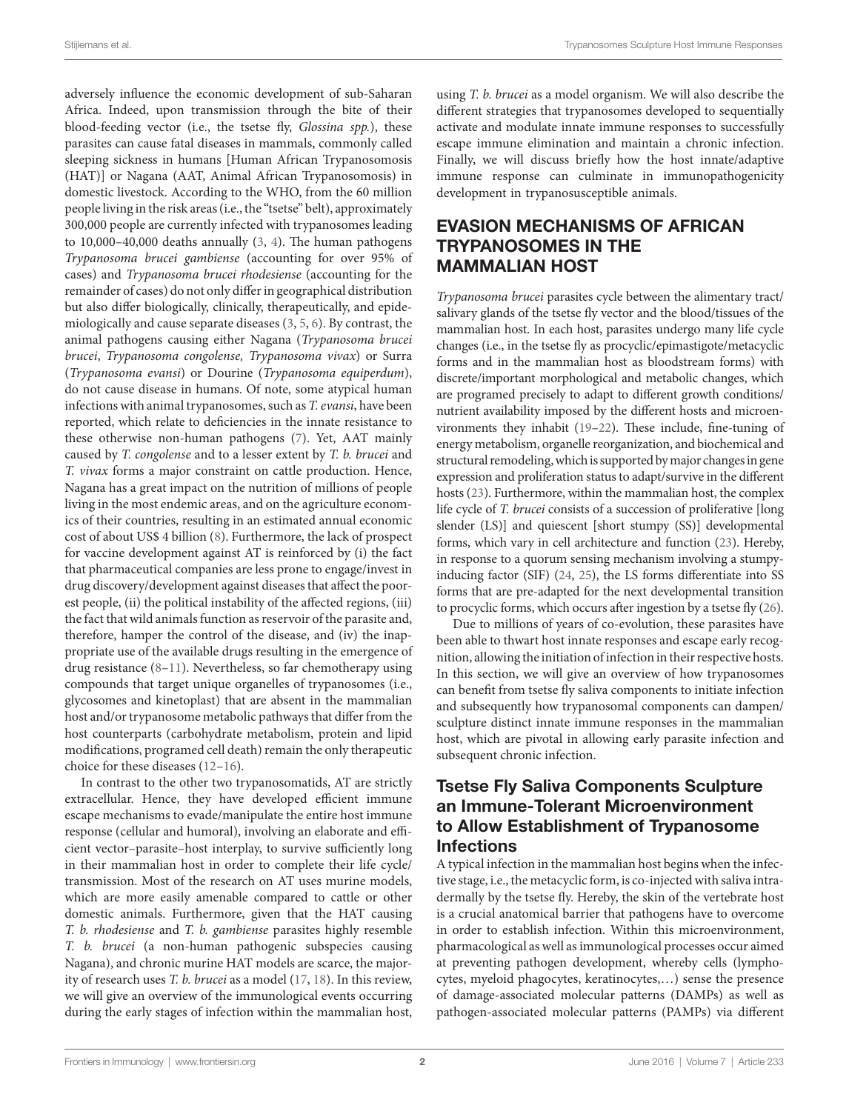adversely influence the economic development of sub-Saharan Africa. Indeed, upon transmission through the bite of their blood-feeding vector (i.e., the tsetse fly, *Glossina spp.*), these parasites can cause fatal diseases in mammals, commonly called sleeping sickness in humans [Human African Trypanosomosis (HAT)] or Nagana (AAT, Animal African Trypanosomosis) in domestic livestock. According to the WHO, from the 60 million people living in the risk areas (i.e., the "tsetse" belt), approximately 300,000 people are currently infected with trypanosomes leading to 10,000–40,000 deaths annually [\(3](#page-8-2), [4\)](#page-8-3). The human pathogens *Trypanosoma brucei gambiense* (accounting for over 95% of cases) and *Trypanosoma brucei rhodesiense* (accounting for the remainder of cases) do not only differ in geographical distribution but also differ biologically, clinically, therapeutically, and epidemiologically and cause separate diseases [\(3,](#page-8-2) [5,](#page-8-4) [6](#page-8-5)). By contrast, the animal pathogens causing either Nagana (*Trypanosoma brucei brucei*, *Trypanosoma congolense, Trypanosoma vivax*) or Surra (*Trypanosoma evansi*) or Dourine (*Trypanosoma equiperdum*), do not cause disease in humans. Of note, some atypical human infections with animal trypanosomes, such as *T. evansi*, have been reported, which relate to deficiencies in the innate resistance to these otherwise non-human pathogens [\(7\)](#page-8-6). Yet, AAT mainly caused by *T. congolense* and to a lesser extent by *T. b. brucei* and *T. vivax* forms a major constraint on cattle production. Hence, Nagana has a great impact on the nutrition of millions of people living in the most endemic areas, and on the agriculture economics of their countries, resulting in an estimated annual economic cost of about US\$ 4 billion [\(8\)](#page-9-0). Furthermore, the lack of prospect for vaccine development against AT is reinforced by (i) the fact that pharmaceutical companies are less prone to engage/invest in drug discovery/development against diseases that affect the poorest people, (ii) the political instability of the affected regions, (iii) the fact that wild animals function as reservoir of the parasite and, therefore, hamper the control of the disease, and (iv) the inappropriate use of the available drugs resulting in the emergence of drug resistance ([8](#page-9-0)[–11](#page-9-1)). Nevertheless, so far chemotherapy using compounds that target unique organelles of trypanosomes (i.e., glycosomes and kinetoplast) that are absent in the mammalian host and/or trypanosome metabolic pathways that differ from the host counterparts (carbohydrate metabolism, protein and lipid modifications, programed cell death) remain the only therapeutic choice for these diseases ([12–](#page-9-2)[16\)](#page-9-3).

In contrast to the other two trypanosomatids, AT are strictly extracellular. Hence, they have developed efficient immune escape mechanisms to evade/manipulate the entire host immune response (cellular and humoral), involving an elaborate and efficient vector–parasite–host interplay, to survive sufficiently long in their mammalian host in order to complete their life cycle/ transmission. Most of the research on AT uses murine models, which are more easily amenable compared to cattle or other domestic animals. Furthermore, given that the HAT causing *T. b. rhodesiense* and *T. b. gambiense* parasites highly resemble *T. b. brucei* (a non-human pathogenic subspecies causing Nagana), and chronic murine HAT models are scarce, the majority of research uses *T. b. brucei* as a model [\(17](#page-9-4), [18\)](#page-9-5). In this review, we will give an overview of the immunological events occurring during the early stages of infection within the mammalian host,

using *T. b. brucei* as a model organism. We will also describe the different strategies that trypanosomes developed to sequentially activate and modulate innate immune responses to successfully escape immune elimination and maintain a chronic infection. Finally, we will discuss briefly how the host innate/adaptive immune response can culminate in immunopathogenicity development in trypanosusceptible animals.

# EVASION MECHANISMS OF AFRICAN TRYPANOSOMES IN THE MAMMALIAN HOST

*Trypanosoma brucei* parasites cycle between the alimentary tract/ salivary glands of the tsetse fly vector and the blood/tissues of the mammalian host. In each host, parasites undergo many life cycle changes (i.e., in the tsetse fly as procyclic/epimastigote/metacyclic forms and in the mammalian host as bloodstream forms) with discrete/important morphological and metabolic changes, which are programed precisely to adapt to different growth conditions/ nutrient availability imposed by the different hosts and microenvironments they inhabit [\(19](#page-9-6)–[22\)](#page-9-7). These include, fine-tuning of energy metabolism, organelle reorganization, and biochemical and structural remodeling, which is supported by major changes in gene expression and proliferation status to adapt/survive in the different hosts [\(23](#page-9-8)). Furthermore, within the mammalian host, the complex life cycle of *T. brucei* consists of a succession of proliferative [long slender (LS)] and quiescent [short stumpy (SS)] developmental forms, which vary in cell architecture and function ([23](#page-9-8)). Hereby, in response to a quorum sensing mechanism involving a stumpyinducing factor (SIF) [\(24,](#page-9-9) [25\)](#page-9-10), the LS forms differentiate into SS forms that are pre-adapted for the next developmental transition to procyclic forms, which occurs after ingestion by a tsetse fly ([26\)](#page-9-11).

Due to millions of years of co-evolution, these parasites have been able to thwart host innate responses and escape early recognition, allowing the initiation of infection in their respective hosts. In this section, we will give an overview of how trypanosomes can benefit from tsetse fly saliva components to initiate infection and subsequently how trypanosomal components can dampen/ sculpture distinct innate immune responses in the mammalian host, which are pivotal in allowing early parasite infection and subsequent chronic infection.

# Tsetse Fly Saliva Components Sculpture an Immune-Tolerant Microenvironment to Allow Establishment of Trypanosome Infections

A typical infection in the mammalian host begins when the infective stage, i.e., the metacyclic form, is co-injected with saliva intradermally by the tsetse fly. Hereby, the skin of the vertebrate host is a crucial anatomical barrier that pathogens have to overcome in order to establish infection. Within this microenvironment, pharmacological as well as immunological processes occur aimed at preventing pathogen development, whereby cells (lymphocytes, myeloid phagocytes, keratinocytes,…) sense the presence of damage-associated molecular patterns (DAMPs) as well as pathogen-associated molecular patterns (PAMPs) via different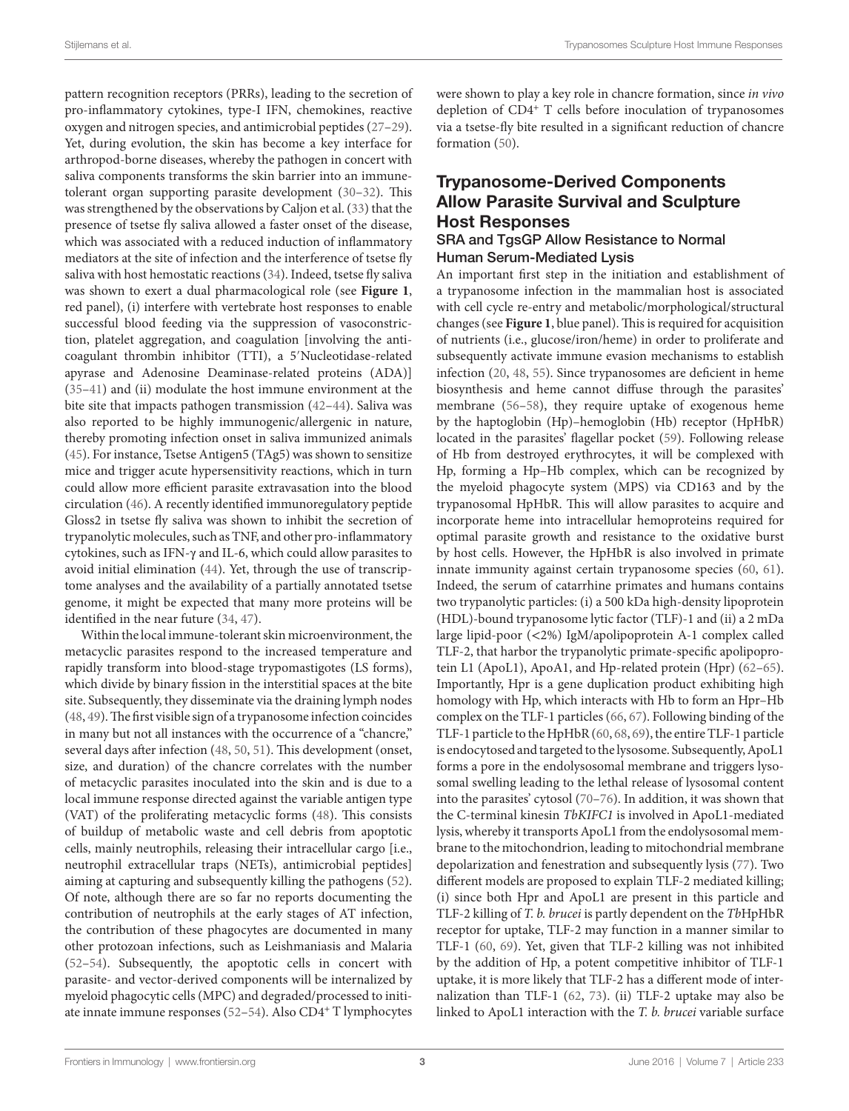pattern recognition receptors (PRRs), leading to the secretion of pro-inflammatory cytokines, type-I IFN, chemokines, reactive oxygen and nitrogen species, and antimicrobial peptides ([27–](#page-9-12)[29\)](#page-9-13). Yet, during evolution, the skin has become a key interface for arthropod-borne diseases, whereby the pathogen in concert with saliva components transforms the skin barrier into an immunetolerant organ supporting parasite development [\(30](#page-9-14)[–32\)](#page-9-15). This was strengthened by the observations by Caljon et al. ([33\)](#page-9-16) that the presence of tsetse fly saliva allowed a faster onset of the disease, which was associated with a reduced induction of inflammatory mediators at the site of infection and the interference of tsetse fly saliva with host hemostatic reactions ([34\)](#page-9-17). Indeed, tsetse fly saliva was shown to exert a dual pharmacological role (see **[Figure 1](#page-3-0)**, red panel), (i) interfere with vertebrate host responses to enable successful blood feeding via the suppression of vasoconstriction, platelet aggregation, and coagulation [involving the anticoagulant thrombin inhibitor (TTI), a 5′Nucleotidase-related apyrase and Adenosine Deaminase-related proteins (ADA)] ([35–](#page-9-18)[41\)](#page-9-19) and (ii) modulate the host immune environment at the bite site that impacts pathogen transmission [\(42](#page-9-20)[–44](#page-9-21)). Saliva was also reported to be highly immunogenic/allergenic in nature, thereby promoting infection onset in saliva immunized animals ([45\)](#page-9-22). For instance, Tsetse Antigen5 (TAg5) was shown to sensitize mice and trigger acute hypersensitivity reactions, which in turn could allow more efficient parasite extravasation into the blood circulation ([46\)](#page-9-23). A recently identified immunoregulatory peptide Gloss2 in tsetse fly saliva was shown to inhibit the secretion of trypanolytic molecules, such as TNF, and other pro-inflammatory cytokines, such as IFN-γ and IL-6, which could allow parasites to avoid initial elimination ([44\)](#page-9-21). Yet, through the use of transcriptome analyses and the availability of a partially annotated tsetse genome, it might be expected that many more proteins will be identified in the near future [\(34,](#page-9-17) [47\)](#page-9-24).

Within the local immune-tolerant skin microenvironment, the metacyclic parasites respond to the increased temperature and rapidly transform into blood-stage trypomastigotes (LS forms), which divide by binary fission in the interstitial spaces at the bite site. Subsequently, they disseminate via the draining lymph nodes ([48,](#page-9-25) [49](#page-9-26)). The first visible sign of a trypanosome infection coincides in many but not all instances with the occurrence of a "chancre," several days after infection ([48,](#page-9-25) [50](#page-10-0), [51\)](#page-10-1). This development (onset, size, and duration) of the chancre correlates with the number of metacyclic parasites inoculated into the skin and is due to a local immune response directed against the variable antigen type (VAT) of the proliferating metacyclic forms [\(48](#page-9-25)). This consists of buildup of metabolic waste and cell debris from apoptotic cells, mainly neutrophils, releasing their intracellular cargo [i.e., neutrophil extracellular traps (NETs), antimicrobial peptides] aiming at capturing and subsequently killing the pathogens ([52\)](#page-10-2). Of note, although there are so far no reports documenting the contribution of neutrophils at the early stages of AT infection, the contribution of these phagocytes are documented in many other protozoan infections, such as Leishmaniasis and Malaria ([52–](#page-10-2)[54\)](#page-10-3). Subsequently, the apoptotic cells in concert with parasite- and vector-derived components will be internalized by myeloid phagocytic cells (MPC) and degraded/processed to initiate innate immune responses ([52](#page-10-2)–[54](#page-10-3)). Also CD4<sup>+</sup> T lymphocytes

were shown to play a key role in chancre formation, since *in vivo* depletion of CD4<sup>+</sup> T cells before inoculation of trypanosomes via a tsetse-fly bite resulted in a significant reduction of chancre formation ([50\)](#page-10-0).

# Trypanosome-Derived Components Allow Parasite Survival and Sculpture Host Responses

### SRA and TgsGP Allow Resistance to Normal Human Serum-Mediated Lysis

An important first step in the initiation and establishment of a trypanosome infection in the mammalian host is associated with cell cycle re-entry and metabolic/morphological/structural changes (see **[Figure 1](#page-3-0)**, blue panel). This is required for acquisition of nutrients (i.e., glucose/iron/heme) in order to proliferate and subsequently activate immune evasion mechanisms to establish infection ([20](#page-9-27), [48,](#page-9-25) [55\)](#page-10-4). Since trypanosomes are deficient in heme biosynthesis and heme cannot diffuse through the parasites' membrane [\(56](#page-10-5)[–58](#page-10-6)), they require uptake of exogenous heme by the haptoglobin (Hp)–hemoglobin (Hb) receptor (HpHbR) located in the parasites' flagellar pocket ([59\)](#page-10-7). Following release of Hb from destroyed erythrocytes, it will be complexed with Hp, forming a Hp–Hb complex, which can be recognized by the myeloid phagocyte system (MPS) via CD163 and by the trypanosomal HpHbR. This will allow parasites to acquire and incorporate heme into intracellular hemoproteins required for optimal parasite growth and resistance to the oxidative burst by host cells. However, the HpHbR is also involved in primate innate immunity against certain trypanosome species ([60,](#page-10-8) [61](#page-10-9)). Indeed, the serum of catarrhine primates and humans contains two trypanolytic particles: (i) a 500 kDa high-density lipoprotein (HDL)-bound trypanosome lytic factor (TLF)-1 and (ii) a 2 mDa large lipid-poor (<2%) IgM/apolipoprotein A-1 complex called TLF-2, that harbor the trypanolytic primate-specific apolipoprotein L1 (ApoL1), ApoA1, and Hp-related protein (Hpr) [\(62](#page-10-10)[–65](#page-10-11)). Importantly, Hpr is a gene duplication product exhibiting high homology with Hp, which interacts with Hb to form an Hpr–Hb complex on the TLF-1 particles [\(66](#page-10-12), [67](#page-10-13)). Following binding of the TLF-1 particle to the HpHbR [\(60](#page-10-8), [68,](#page-10-14) [69\)](#page-10-15), the entire TLF-1 particle is endocytosed and targeted to the lysosome. Subsequently, ApoL1 forms a pore in the endolysosomal membrane and triggers lysosomal swelling leading to the lethal release of lysosomal content into the parasites' cytosol ([70](#page-10-16)–[76](#page-10-17)). In addition, it was shown that the C-terminal kinesin *TbKIFC1* is involved in ApoL1-mediated lysis, whereby it transports ApoL1 from the endolysosomal membrane to the mitochondrion, leading to mitochondrial membrane depolarization and fenestration and subsequently lysis ([77\)](#page-10-18). Two different models are proposed to explain TLF-2 mediated killing; (i) since both Hpr and ApoL1 are present in this particle and TLF-2 killing of *T. b. brucei* is partly dependent on the *Tb*HpHbR receptor for uptake, TLF-2 may function in a manner similar to TLF-1 [\(60,](#page-10-8) [69\)](#page-10-15). Yet, given that TLF-2 killing was not inhibited by the addition of Hp, a potent competitive inhibitor of TLF-1 uptake, it is more likely that TLF-2 has a different mode of internalization than TLF-1 ([62,](#page-10-10) [73](#page-10-19)). (ii) TLF-2 uptake may also be linked to ApoL1 interaction with the *T. b. brucei* variable surface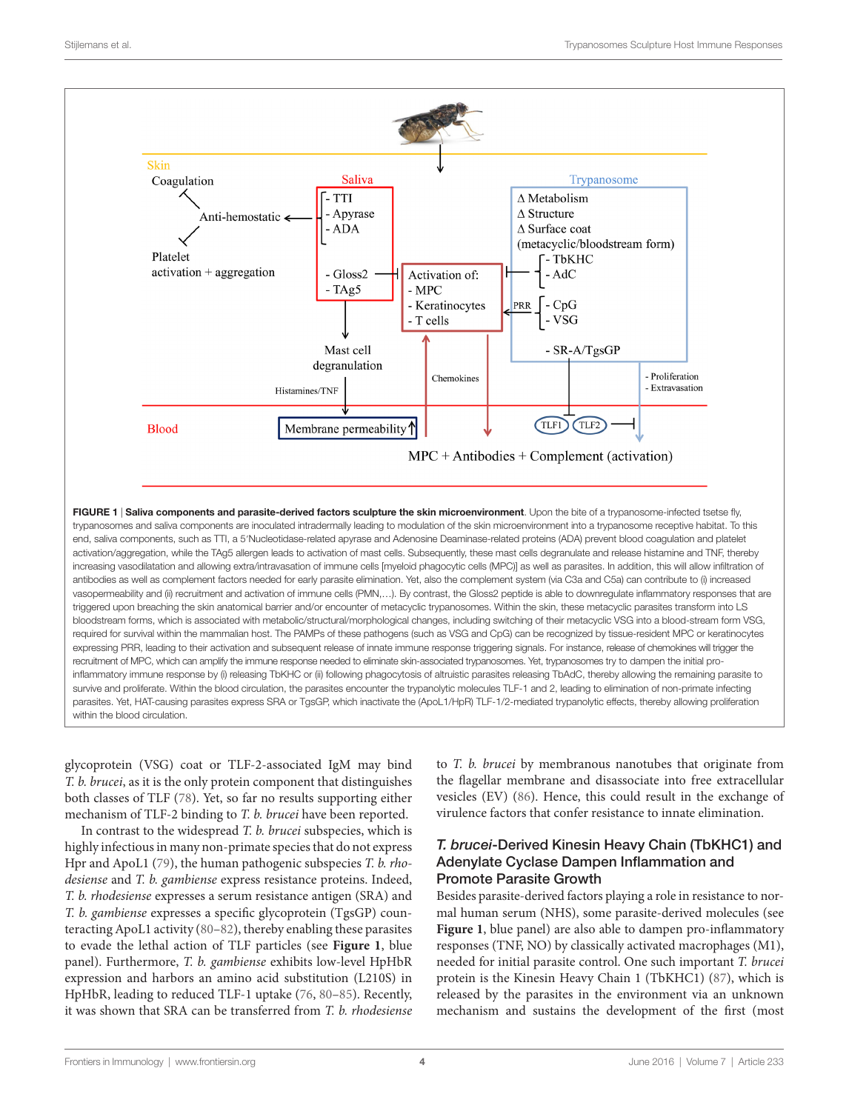

<span id="page-3-0"></span>glycoprotein (VSG) coat or TLF-2-associated IgM may bind *T. b. brucei*, as it is the only protein component that distinguishes both classes of TLF [\(78](#page-10-20)). Yet, so far no results supporting either mechanism of TLF-2 binding to *T. b. brucei* have been reported.

In contrast to the widespread *T. b. brucei* subspecies, which is highly infectious in many non-primate species that do not express Hpr and ApoL1 [\(79](#page-10-21)), the human pathogenic subspecies *T. b. rhodesiense* and *T. b. gambiense* express resistance proteins. Indeed, *T. b. rhodesiense* expresses a serum resistance antigen (SRA) and *T. b. gambiense* expresses a specific glycoprotein (TgsGP) counteracting ApoL1 activity ([80–](#page-10-22)[82\)](#page-10-23), thereby enabling these parasites to evade the lethal action of TLF particles (see **[Figure 1](#page-3-0)**, blue panel). Furthermore, *T. b. gambiense* exhibits low-level HpHbR expression and harbors an amino acid substitution (L210S) in HpHbR, leading to reduced TLF-1 uptake [\(76](#page-10-17), [80](#page-10-22)[–85](#page-10-24)). Recently, it was shown that SRA can be transferred from *T. b. rhodesiense* to *T. b. brucei* by membranous nanotubes that originate from the flagellar membrane and disassociate into free extracellular vesicles (EV) [\(86](#page-10-25)). Hence, this could result in the exchange of virulence factors that confer resistance to innate elimination.

#### *T. brucei*-Derived Kinesin Heavy Chain (TbKHC1) and Adenylate Cyclase Dampen Inflammation and Promote Parasite Growth

Besides parasite-derived factors playing a role in resistance to normal human serum (NHS), some parasite-derived molecules (see **[Figure 1](#page-3-0)**, blue panel) are also able to dampen pro-inflammatory responses (TNF, NO) by classically activated macrophages (M1), needed for initial parasite control. One such important *T. brucei* protein is the Kinesin Heavy Chain 1 (TbKHC1) [\(87\)](#page-10-26), which is released by the parasites in the environment via an unknown mechanism and sustains the development of the first (most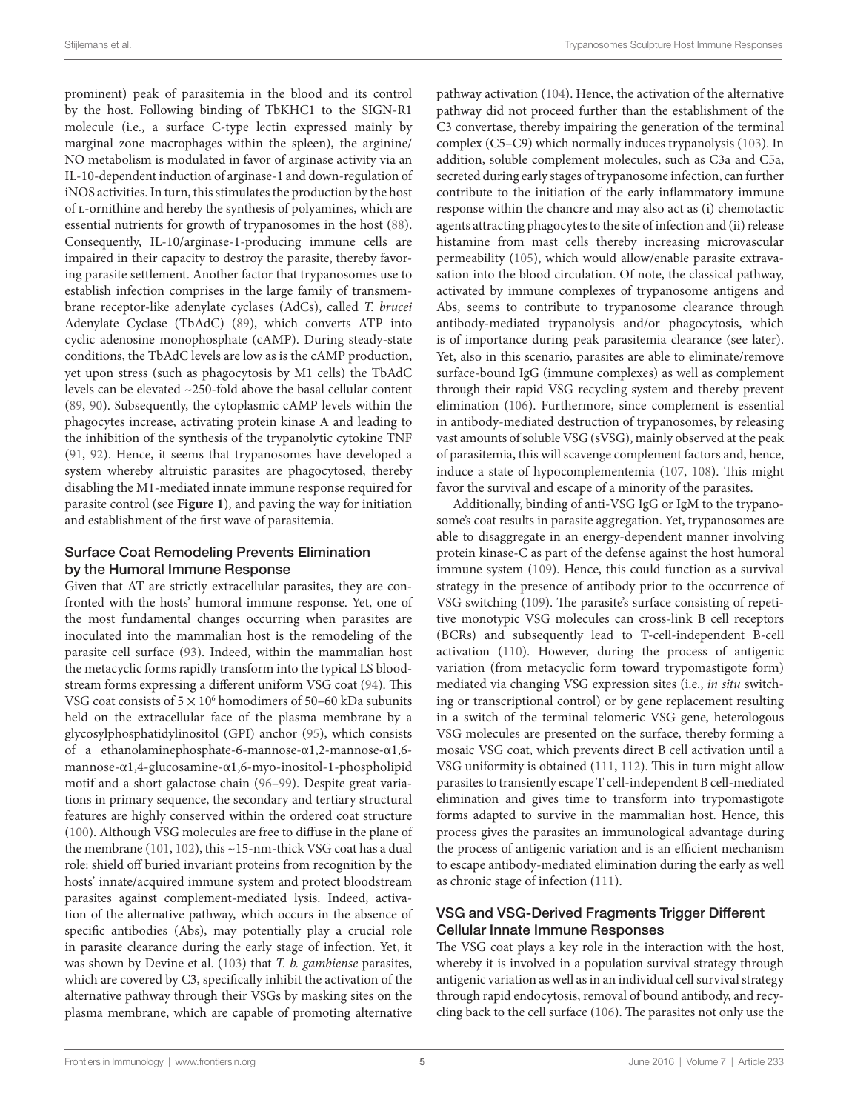prominent) peak of parasitemia in the blood and its control by the host. Following binding of TbKHC1 to the SIGN-R1 molecule (i.e., a surface C-type lectin expressed mainly by marginal zone macrophages within the spleen), the arginine/ NO metabolism is modulated in favor of arginase activity via an IL-10-dependent induction of arginase-1 and down-regulation of iNOS activities. In turn, this stimulates the production by the host of l-ornithine and hereby the synthesis of polyamines, which are essential nutrients for growth of trypanosomes in the host ([88\)](#page-11-0). Consequently, IL-10/arginase-1-producing immune cells are impaired in their capacity to destroy the parasite, thereby favoring parasite settlement. Another factor that trypanosomes use to establish infection comprises in the large family of transmembrane receptor-like adenylate cyclases (AdCs), called *T. brucei* Adenylate Cyclase (TbAdC) ([89](#page-11-1)), which converts ATP into cyclic adenosine monophosphate (cAMP). During steady-state conditions, the TbAdC levels are low as is the cAMP production, yet upon stress (such as phagocytosis by M1 cells) the TbAdC levels can be elevated ~250-fold above the basal cellular content ([89,](#page-11-1) [90\)](#page-11-2). Subsequently, the cytoplasmic cAMP levels within the phagocytes increase, activating protein kinase A and leading to the inhibition of the synthesis of the trypanolytic cytokine TNF ([91,](#page-11-3) [92](#page-11-4)). Hence, it seems that trypanosomes have developed a system whereby altruistic parasites are phagocytosed, thereby disabling the M1-mediated innate immune response required for parasite control (see **[Figure 1](#page-3-0)**), and paving the way for initiation and establishment of the first wave of parasitemia.

#### Surface Coat Remodeling Prevents Elimination by the Humoral Immune Response

Given that AT are strictly extracellular parasites, they are confronted with the hosts' humoral immune response. Yet, one of the most fundamental changes occurring when parasites are inoculated into the mammalian host is the remodeling of the parasite cell surface [\(93](#page-11-5)). Indeed, within the mammalian host the metacyclic forms rapidly transform into the typical LS bloodstream forms expressing a different uniform VSG coat [\(94](#page-11-6)). This VSG coat consists of  $5 \times 10^6$  homodimers of 50–60 kDa subunits held on the extracellular face of the plasma membrane by a glycosylphosphatidylinositol (GPI) anchor [\(95](#page-11-7)), which consists of a ethanolaminephosphate-6-mannose-α1,2-mannose-α1,6 mannose-α1,4-glucosamine-α1,6-myo-inositol-1-phospholipid motif and a short galactose chain ([96–](#page-11-8)[99\)](#page-11-9). Despite great variations in primary sequence, the secondary and tertiary structural features are highly conserved within the ordered coat structure ([100](#page-11-10)). Although VSG molecules are free to diffuse in the plane of the membrane [\(101,](#page-11-11) [102\)](#page-11-12), this ~15-nm-thick VSG coat has a dual role: shield off buried invariant proteins from recognition by the hosts' innate/acquired immune system and protect bloodstream parasites against complement-mediated lysis. Indeed, activation of the alternative pathway, which occurs in the absence of specific antibodies (Abs), may potentially play a crucial role in parasite clearance during the early stage of infection. Yet, it was shown by Devine et al. [\(103\)](#page-11-13) that *T. b. gambiense* parasites, which are covered by C3, specifically inhibit the activation of the alternative pathway through their VSGs by masking sites on the plasma membrane, which are capable of promoting alternative

pathway activation ([104](#page-11-14)). Hence, the activation of the alternative pathway did not proceed further than the establishment of the C3 convertase, thereby impairing the generation of the terminal complex (C5–C9) which normally induces trypanolysis [\(103](#page-11-13)). In addition, soluble complement molecules, such as C3a and C5a, secreted during early stages of trypanosome infection, can further contribute to the initiation of the early inflammatory immune response within the chancre and may also act as (i) chemotactic agents attracting phagocytes to the site of infection and (ii) release histamine from mast cells thereby increasing microvascular permeability [\(105](#page-11-15)), which would allow/enable parasite extravasation into the blood circulation. Of note, the classical pathway, activated by immune complexes of trypanosome antigens and Abs, seems to contribute to trypanosome clearance through antibody-mediated trypanolysis and/or phagocytosis, which is of importance during peak parasitemia clearance (see later). Yet, also in this scenario, parasites are able to eliminate/remove surface-bound IgG (immune complexes) as well as complement through their rapid VSG recycling system and thereby prevent elimination ([106\)](#page-11-16). Furthermore, since complement is essential in antibody-mediated destruction of trypanosomes, by releasing vast amounts of soluble VSG (sVSG), mainly observed at the peak of parasitemia, this will scavenge complement factors and, hence, induce a state of hypocomplementemia [\(107,](#page-11-17) [108\)](#page-11-18). This might favor the survival and escape of a minority of the parasites.

Additionally, binding of anti-VSG IgG or IgM to the trypanosome's coat results in parasite aggregation. Yet, trypanosomes are able to disaggregate in an energy-dependent manner involving protein kinase-C as part of the defense against the host humoral immune system ([109](#page-11-19)). Hence, this could function as a survival strategy in the presence of antibody prior to the occurrence of VSG switching ([109](#page-11-19)). The parasite's surface consisting of repetitive monotypic VSG molecules can cross-link B cell receptors (BCRs) and subsequently lead to T-cell-independent B-cell activation ([110](#page-11-20)). However, during the process of antigenic variation (from metacyclic form toward trypomastigote form) mediated via changing VSG expression sites (i.e., *in situ* switching or transcriptional control) or by gene replacement resulting in a switch of the terminal telomeric VSG gene, heterologous VSG molecules are presented on the surface, thereby forming a mosaic VSG coat, which prevents direct B cell activation until a VSG uniformity is obtained [\(111,](#page-11-21) [112](#page-11-22)). This in turn might allow parasites to transiently escape T cell-independent B cell-mediated elimination and gives time to transform into trypomastigote forms adapted to survive in the mammalian host. Hence, this process gives the parasites an immunological advantage during the process of antigenic variation and is an efficient mechanism to escape antibody-mediated elimination during the early as well as chronic stage of infection [\(111\)](#page-11-21).

## VSG and VSG-Derived Fragments Trigger Different Cellular Innate Immune Responses

The VSG coat plays a key role in the interaction with the host, whereby it is involved in a population survival strategy through antigenic variation as well as in an individual cell survival strategy through rapid endocytosis, removal of bound antibody, and recycling back to the cell surface [\(106](#page-11-16)). The parasites not only use the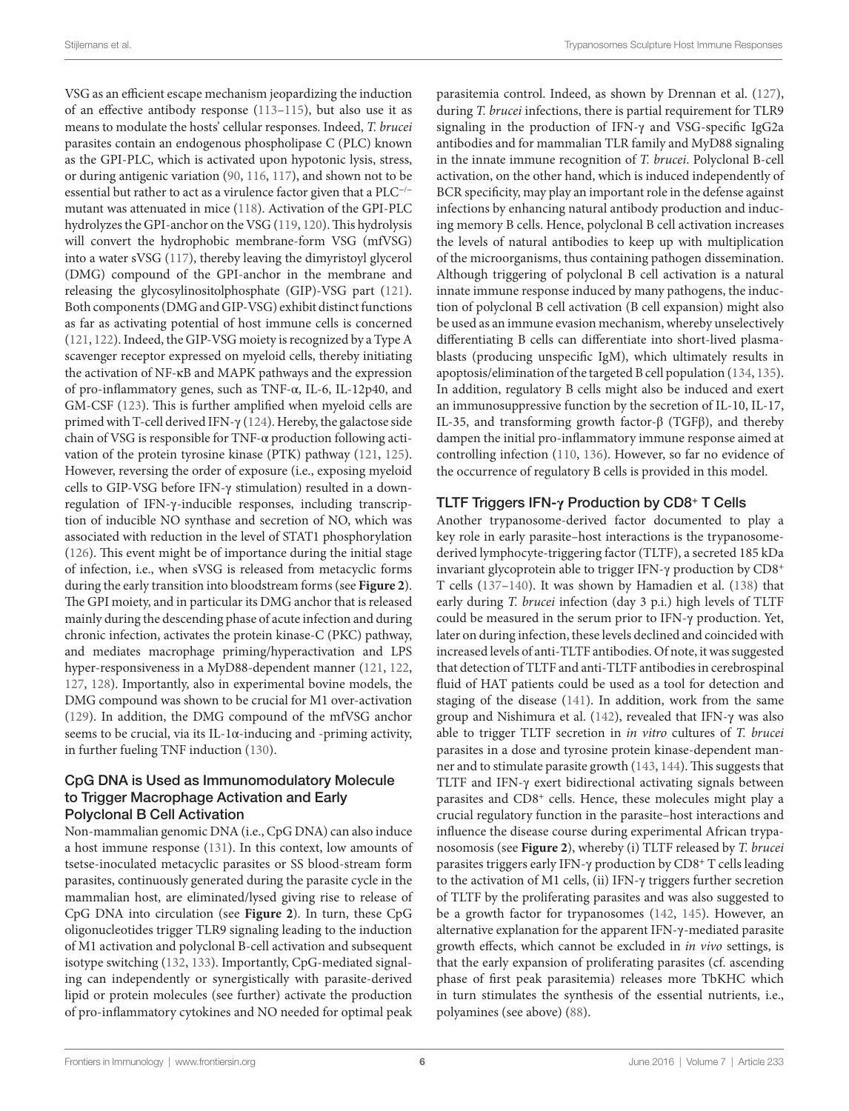VSG as an efficient escape mechanism jeopardizing the induction of an effective antibody response ([113–](#page-11-23)[115](#page-11-24)), but also use it as means to modulate the hosts' cellular responses. Indeed, *T. brucei* parasites contain an endogenous phospholipase C (PLC) known as the GPI-PLC, which is activated upon hypotonic lysis, stress, or during antigenic variation ([90,](#page-11-2) [116,](#page-11-25) [117\)](#page-11-26), and shown not to be essential but rather to act as a virulence factor given that a PLC<sup>−</sup>/<sup>−</sup> mutant was attenuated in mice ([118\)](#page-11-27). Activation of the GPI-PLC hydrolyzes the GPI-anchor on the VSG [\(119,](#page-11-28) [120](#page-11-29)). This hydrolysis will convert the hydrophobic membrane-form VSG (mfVSG) into a water sVSG ([117](#page-11-26)), thereby leaving the dimyristoyl glycerol (DMG) compound of the GPI-anchor in the membrane and releasing the glycosylinositolphosphate (GIP)-VSG part [\(121\)](#page-11-30). Both components (DMG and GIP-VSG) exhibit distinct functions as far as activating potential of host immune cells is concerned ([121](#page-11-30), [122\)](#page-11-31). Indeed, the GIP-VSG moiety is recognized by a Type A scavenger receptor expressed on myeloid cells, thereby initiating the activation of NF-κB and MAPK pathways and the expression of pro-inflammatory genes, such as TNF-α, IL-6, IL-12p40, and GM-CSF ([123](#page-11-32)). This is further amplified when myeloid cells are primed with T-cell derived IFN- $\gamma$  ([124](#page-11-33)). Hereby, the galactose side chain of VSG is responsible for TNF-α production following activation of the protein tyrosine kinase (PTK) pathway ([121](#page-11-30), [125\)](#page-11-34). However, reversing the order of exposure (i.e., exposing myeloid cells to GIP-VSG before IFN-γ stimulation) resulted in a downregulation of IFN-γ-inducible responses, including transcription of inducible NO synthase and secretion of NO, which was associated with reduction in the level of STAT1 phosphorylation ([126](#page-11-35)). This event might be of importance during the initial stage of infection, i.e., when sVSG is released from metacyclic forms during the early transition into bloodstream forms (see **[Figure 2](#page-6-0)**). The GPI moiety, and in particular its DMG anchor that is released mainly during the descending phase of acute infection and during chronic infection, activates the protein kinase-C (PKC) pathway, and mediates macrophage priming/hyperactivation and LPS hyper-responsiveness in a MyD88-dependent manner [\(121,](#page-11-30) [122,](#page-11-31) [127,](#page-12-0) [128\)](#page-12-1). Importantly, also in experimental bovine models, the DMG compound was shown to be crucial for M1 over-activation ([129](#page-12-2)). In addition, the DMG compound of the mfVSG anchor seems to be crucial, via its IL-1 $\alpha$ -inducing and -priming activity, in further fueling TNF induction [\(130\)](#page-12-3).

### CpG DNA is Used as Immunomodulatory Molecule to Trigger Macrophage Activation and Early Polyclonal B Cell Activation

Non-mammalian genomic DNA (i.e., CpG DNA) can also induce a host immune response [\(131\)](#page-12-4). In this context, low amounts of tsetse-inoculated metacyclic parasites or SS blood-stream form parasites, continuously generated during the parasite cycle in the mammalian host, are eliminated/lysed giving rise to release of CpG DNA into circulation (see **[Figure 2](#page-6-0)**). In turn, these CpG oligonucleotides trigger TLR9 signaling leading to the induction of M1 activation and polyclonal B-cell activation and subsequent isotype switching [\(132](#page-12-5), [133\)](#page-12-6). Importantly, CpG-mediated signaling can independently or synergistically with parasite-derived lipid or protein molecules (see further) activate the production of pro-inflammatory cytokines and NO needed for optimal peak

parasitemia control. Indeed, as shown by Drennan et al. ([127](#page-12-0)), during *T. brucei* infections, there is partial requirement for TLR9 signaling in the production of IFN-γ and VSG-specific IgG2a antibodies and for mammalian TLR family and MyD88 signaling in the innate immune recognition of *T. brucei*. Polyclonal B-cell activation, on the other hand, which is induced independently of BCR specificity, may play an important role in the defense against infections by enhancing natural antibody production and inducing memory B cells. Hence, polyclonal B cell activation increases the levels of natural antibodies to keep up with multiplication of the microorganisms, thus containing pathogen dissemination. Although triggering of polyclonal B cell activation is a natural innate immune response induced by many pathogens, the induction of polyclonal B cell activation (B cell expansion) might also be used as an immune evasion mechanism, whereby unselectively differentiating B cells can differentiate into short-lived plasmablasts (producing unspecific IgM), which ultimately results in apoptosis/elimination of the targeted B cell population [\(134](#page-12-7), [135](#page-12-8)). In addition, regulatory B cells might also be induced and exert an immunosuppressive function by the secretion of IL-10, IL-17, IL-35, and transforming growth factor-β (TGFβ), and thereby dampen the initial pro-inflammatory immune response aimed at controlling infection ([110](#page-11-20), [136\)](#page-12-9). However, so far no evidence of the occurrence of regulatory B cells is provided in this model.

## TLTF Triggers IFN-**γ** Production by CD8**+** T Cells

Another trypanosome-derived factor documented to play a key role in early parasite–host interactions is the trypanosomederived lymphocyte-triggering factor (TLTF), a secreted 185 kDa invariant glycoprotein able to trigger IFN-γ production by CD8<sup>+</sup> T cells [\(137–](#page-12-10)[140](#page-12-11)). It was shown by Hamadien et al. ([138](#page-12-12)) that early during *T. brucei* infection (day 3 p.i.) high levels of TLTF could be measured in the serum prior to IFN-γ production. Yet, later on during infection, these levels declined and coincided with increased levels of anti-TLTF antibodies. Of note, it was suggested that detection of TLTF and anti-TLTF antibodies in cerebrospinal fluid of HAT patients could be used as a tool for detection and staging of the disease [\(141\)](#page-12-13). In addition, work from the same group and Nishimura et al. [\(142\)](#page-12-14), revealed that IFN-γ was also able to trigger TLTF secretion in *in vitro* cultures of *T. brucei* parasites in a dose and tyrosine protein kinase-dependent manner and to stimulate parasite growth ([143,](#page-12-15) [144](#page-12-16)). This suggests that TLTF and IFN-γ exert bidirectional activating signals between parasites and CD8<sup>+</sup> cells. Hence, these molecules might play a crucial regulatory function in the parasite–host interactions and influence the disease course during experimental African trypanosomosis (see **[Figure 2](#page-6-0)**), whereby (i) TLTF released by *T. brucei* parasites triggers early IFN-γ production by CD8<sup>+</sup> T cells leading to the activation of M1 cells, (ii) IFN-γ triggers further secretion of TLTF by the proliferating parasites and was also suggested to be a growth factor for trypanosomes ([142](#page-12-14), [145](#page-12-17)). However, an alternative explanation for the apparent IFN-γ-mediated parasite growth effects, which cannot be excluded in *in vivo* settings, is that the early expansion of proliferating parasites (cf. ascending phase of first peak parasitemia) releases more TbKHC which in turn stimulates the synthesis of the essential nutrients, i.e., polyamines (see above) ([88\)](#page-11-0).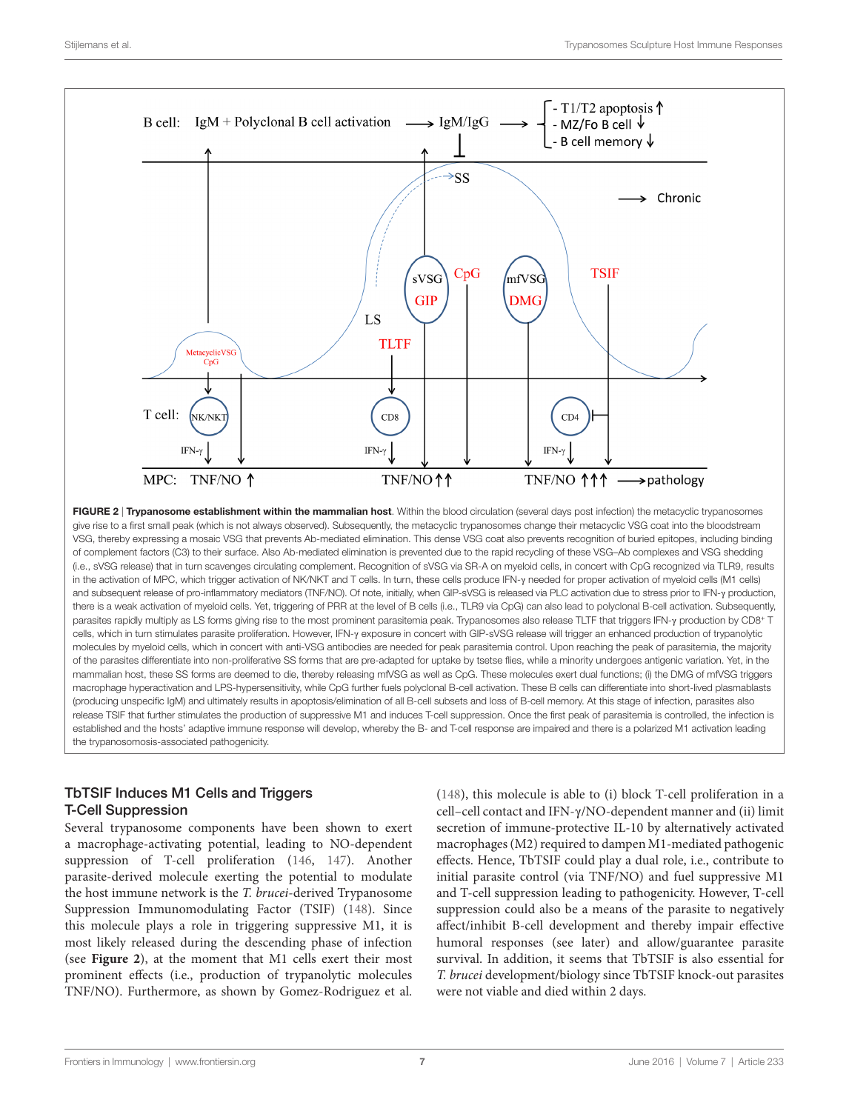

<span id="page-6-0"></span>FIGURE 2 | Trypanosome establishment within the mammalian host. Within the blood circulation (several days post infection) the metacyclic trypanosomes give rise to a first small peak (which is not always observed). Subsequently, the metacyclic trypanosomes change their metacyclic VSG coat into the bloodstream VSG, thereby expressing a mosaic VSG that prevents Ab-mediated elimination. This dense VSG coat also prevents recognition of buried epitopes, including binding of complement factors (C3) to their surface. Also Ab-mediated elimination is prevented due to the rapid recycling of these VSG–Ab complexes and VSG shedding (i.e., sVSG release) that in turn scavenges circulating complement. Recognition of sVSG via SR-A on myeloid cells, in concert with CpG recognized via TLR9, results in the activation of MPC, which trigger activation of NK/NKT and T cells. In turn, these cells produce IFN-γ needed for proper activation of myeloid cells (M1 cells) and subsequent release of pro-inflammatory mediators (TNF/NO). Of note, initially, when GIP-sVSG is released via PLC activation due to stress prior to IFN-γ production, there is a weak activation of myeloid cells. Yet, triggering of PRR at the level of B cells (i.e., TLR9 via CpG) can also lead to polyclonal B-cell activation. Subsequently, parasites rapidly multiply as LS forms giving rise to the most prominent parasitemia peak. Trypanosomes also release TLTF that triggers IFN-γ production by CD8+ T cells, which in turn stimulates parasite proliferation. However, IFN-γ exposure in concert with GIP-sVSG release will trigger an enhanced production of trypanolytic molecules by myeloid cells, which in concert with anti-VSG antibodies are needed for peak parasitemia control. Upon reaching the peak of parasitemia, the majority of the parasites differentiate into non-proliferative SS forms that are pre-adapted for uptake by tsetse flies, while a minority undergoes antigenic variation. Yet, in the mammalian host, these SS forms are deemed to die, thereby releasing mfVSG as well as CpG. These molecules exert dual functions; (i) the DMG of mfVSG triggers macrophage hyperactivation and LPS-hypersensitivity, while CpG further fuels polyclonal B-cell activation. These B cells can differentiate into short-lived plasmablasts (producing unspecific IgM) and ultimately results in apoptosis/elimination of all B-cell subsets and loss of B-cell memory. At this stage of infection, parasites also release TSIF that further stimulates the production of suppressive M1 and induces T-cell suppression. Once the first peak of parasitemia is controlled, the infection is established and the hosts' adaptive immune response will develop, whereby the B- and T-cell response are impaired and there is a polarized M1 activation leading the trypanosomosis-associated pathogenicity.

## TbTSIF Induces M1 Cells and Triggers T-Cell Suppression

Several trypanosome components have been shown to exert a macrophage-activating potential, leading to NO-dependent suppression of T-cell proliferation ([146,](#page-12-18) [147](#page-12-19)). Another parasite-derived molecule exerting the potential to modulate the host immune network is the *T. brucei*-derived Trypanosome Suppression Immunomodulating Factor (TSIF) [\(148\)](#page-12-20). Since this molecule plays a role in triggering suppressive M1, it is most likely released during the descending phase of infection (see **[Figure 2](#page-6-0)**), at the moment that M1 cells exert their most prominent effects (i.e., production of trypanolytic molecules TNF/NO). Furthermore, as shown by Gomez-Rodriguez et al.

[\(148](#page-12-20)), this molecule is able to (i) block T-cell proliferation in a cell–cell contact and IFN-γ/NO-dependent manner and (ii) limit secretion of immune-protective IL-10 by alternatively activated macrophages (M2) required to dampen M1-mediated pathogenic effects. Hence, TbTSIF could play a dual role, i.e., contribute to initial parasite control (via TNF/NO) and fuel suppressive M1 and T-cell suppression leading to pathogenicity. However, T-cell suppression could also be a means of the parasite to negatively affect/inhibit B-cell development and thereby impair effective humoral responses (see later) and allow/guarantee parasite survival. In addition, it seems that TbTSIF is also essential for *T. brucei* development/biology since TbTSIF knock-out parasites were not viable and died within 2 days.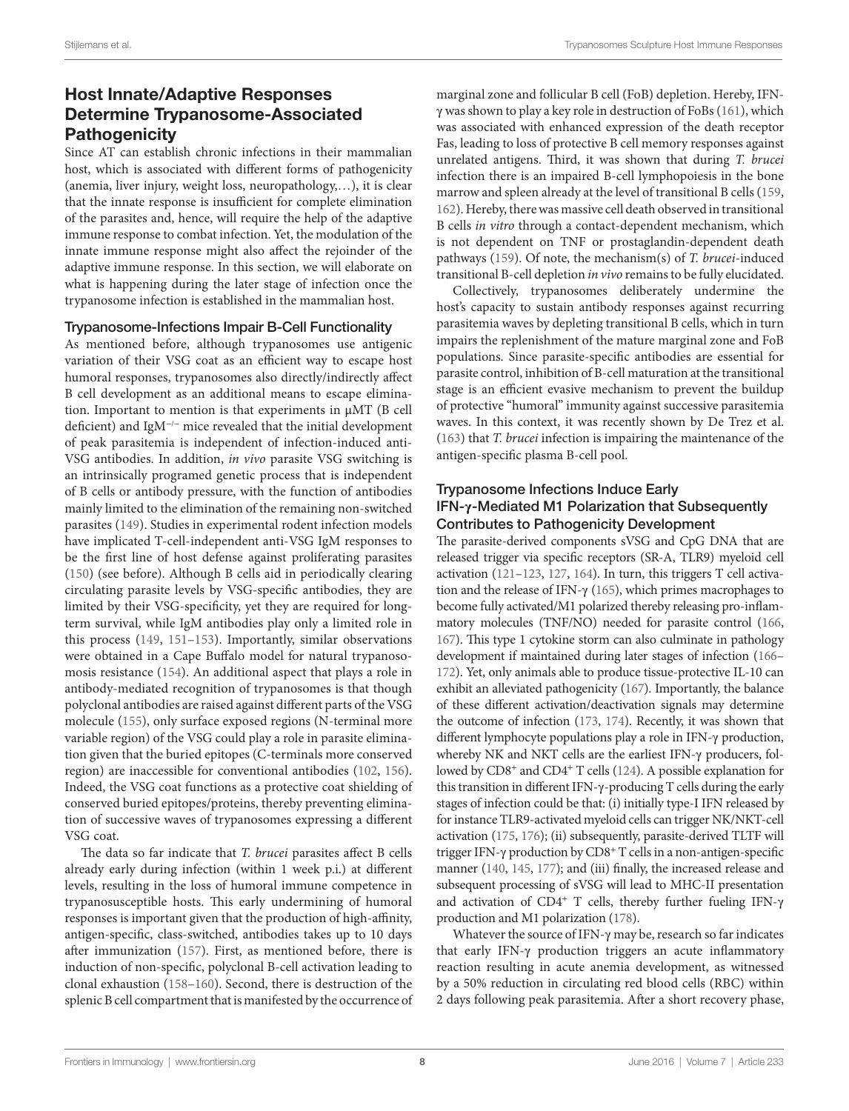# Host Innate/Adaptive Responses Determine Trypanosome-Associated **Pathogenicity**

Since AT can establish chronic infections in their mammalian host, which is associated with different forms of pathogenicity (anemia, liver injury, weight loss, neuropathology,…), it is clear that the innate response is insufficient for complete elimination of the parasites and, hence, will require the help of the adaptive immune response to combat infection. Yet, the modulation of the innate immune response might also affect the rejoinder of the adaptive immune response. In this section, we will elaborate on what is happening during the later stage of infection once the trypanosome infection is established in the mammalian host.

#### Trypanosome-Infections Impair B-Cell Functionality

As mentioned before, although trypanosomes use antigenic variation of their VSG coat as an efficient way to escape host humoral responses, trypanosomes also directly/indirectly affect B cell development as an additional means to escape elimination. Important to mention is that experiments in μMT (B cell deficient) and IgM<sup>−</sup>/<sup>−</sup> mice revealed that the initial development of peak parasitemia is independent of infection-induced anti-VSG antibodies. In addition, *in vivo* parasite VSG switching is an intrinsically programed genetic process that is independent of B cells or antibody pressure, with the function of antibodies mainly limited to the elimination of the remaining non-switched parasites [\(149\)](#page-12-21). Studies in experimental rodent infection models have implicated T-cell-independent anti-VSG IgM responses to be the first line of host defense against proliferating parasites ([150](#page-12-22)) (see before). Although B cells aid in periodically clearing circulating parasite levels by VSG-specific antibodies, they are limited by their VSG-specificity, yet they are required for longterm survival, while IgM antibodies play only a limited role in this process [\(149](#page-12-21), [151–](#page-12-23)[153](#page-12-24)). Importantly, similar observations were obtained in a Cape Buffalo model for natural trypanosomosis resistance [\(154](#page-12-25)). An additional aspect that plays a role in antibody-mediated recognition of trypanosomes is that though polyclonal antibodies are raised against different parts of the VSG molecule ([155\)](#page-12-26), only surface exposed regions (N-terminal more variable region) of the VSG could play a role in parasite elimination given that the buried epitopes (C-terminals more conserved region) are inaccessible for conventional antibodies ([102,](#page-11-12) [156\)](#page-12-27). Indeed, the VSG coat functions as a protective coat shielding of conserved buried epitopes/proteins, thereby preventing elimination of successive waves of trypanosomes expressing a different VSG coat.

The data so far indicate that *T. brucei* parasites affect B cells already early during infection (within 1 week p.i.) at different levels, resulting in the loss of humoral immune competence in trypanosusceptible hosts. This early undermining of humoral responses is important given that the production of high-affinity, antigen-specific, class-switched, antibodies takes up to 10 days after immunization [\(157](#page-12-28)). First, as mentioned before, there is induction of non-specific, polyclonal B-cell activation leading to clonal exhaustion ([158–](#page-12-29)[160](#page-12-30)). Second, there is destruction of the splenic B cell compartment that is manifested by the occurrence of marginal zone and follicular B cell (FoB) depletion. Hereby, IFNγ was shown to play a key role in destruction of FoBs ([161\)](#page-12-31), which was associated with enhanced expression of the death receptor Fas, leading to loss of protective B cell memory responses against unrelated antigens. Third, it was shown that during *T. brucei* infection there is an impaired B-cell lymphopoiesis in the bone marrow and spleen already at the level of transitional B cells [\(159,](#page-12-32) [162\)](#page-12-33). Hereby, there was massive cell death observed in transitional B cells *in vitro* through a contact-dependent mechanism, which is not dependent on TNF or prostaglandin-dependent death pathways [\(159\)](#page-12-32). Of note, the mechanism(s) of *T. brucei*-induced transitional B-cell depletion *in vivo* remains to be fully elucidated.

Collectively, trypanosomes deliberately undermine the host's capacity to sustain antibody responses against recurring parasitemia waves by depleting transitional B cells, which in turn impairs the replenishment of the mature marginal zone and FoB populations. Since parasite-specific antibodies are essential for parasite control, inhibition of B-cell maturation at the transitional stage is an efficient evasive mechanism to prevent the buildup of protective "humoral" immunity against successive parasitemia waves. In this context, it was recently shown by De Trez et al. [\(163](#page-13-0)) that *T. brucei* infection is impairing the maintenance of the antigen-specific plasma B-cell pool.

#### Trypanosome Infections Induce Early IFN-**γ**-Mediated M1 Polarization that Subsequently Contributes to Pathogenicity Development

The parasite-derived components sVSG and CpG DNA that are released trigger via specific receptors (SR-A, TLR9) myeloid cell activation [\(121](#page-11-30)[–123,](#page-11-32) [127,](#page-12-0) [164\)](#page-13-1). In turn, this triggers T cell activation and the release of IFN- $γ$  [\(165](#page-13-2)), which primes macrophages to become fully activated/M1 polarized thereby releasing pro-inflammatory molecules (TNF/NO) needed for parasite control [\(166,](#page-13-3) [167](#page-13-4)). This type 1 cytokine storm can also culminate in pathology development if maintained during later stages of infection ([166–](#page-13-3) [172](#page-13-5)). Yet, only animals able to produce tissue-protective IL-10 can exhibit an alleviated pathogenicity [\(167\)](#page-13-4). Importantly, the balance of these different activation/deactivation signals may determine the outcome of infection [\(173](#page-13-6), [174](#page-13-7)). Recently, it was shown that different lymphocyte populations play a role in IFN-γ production, whereby NK and NKT cells are the earliest IFN-γ producers, followed by CD8<sup>+</sup> and CD4<sup>+</sup> T cells ([124](#page-11-33)). A possible explanation for this transition in different IFN-γ-producing T cells during the early stages of infection could be that: (i) initially type-I IFN released by for instance TLR9-activated myeloid cells can trigger NK/NKT-cell activation ([175](#page-13-8), [176\)](#page-13-9); (ii) subsequently, parasite-derived TLTF will trigger IFN-γ production by CD8<sup>+</sup> T cells in a non-antigen-specific manner ([140](#page-12-11), [145](#page-12-17), [177\)](#page-13-10); and (iii) finally, the increased release and subsequent processing of sVSG will lead to MHC-II presentation and activation of CD4<sup>+</sup> T cells, thereby further fueling IFN-γ production and M1 polarization [\(178\)](#page-13-11).

Whatever the source of IFN-γ may be, research so far indicates that early IFN-γ production triggers an acute inflammatory reaction resulting in acute anemia development, as witnessed by a 50% reduction in circulating red blood cells (RBC) within 2 days following peak parasitemia. After a short recovery phase,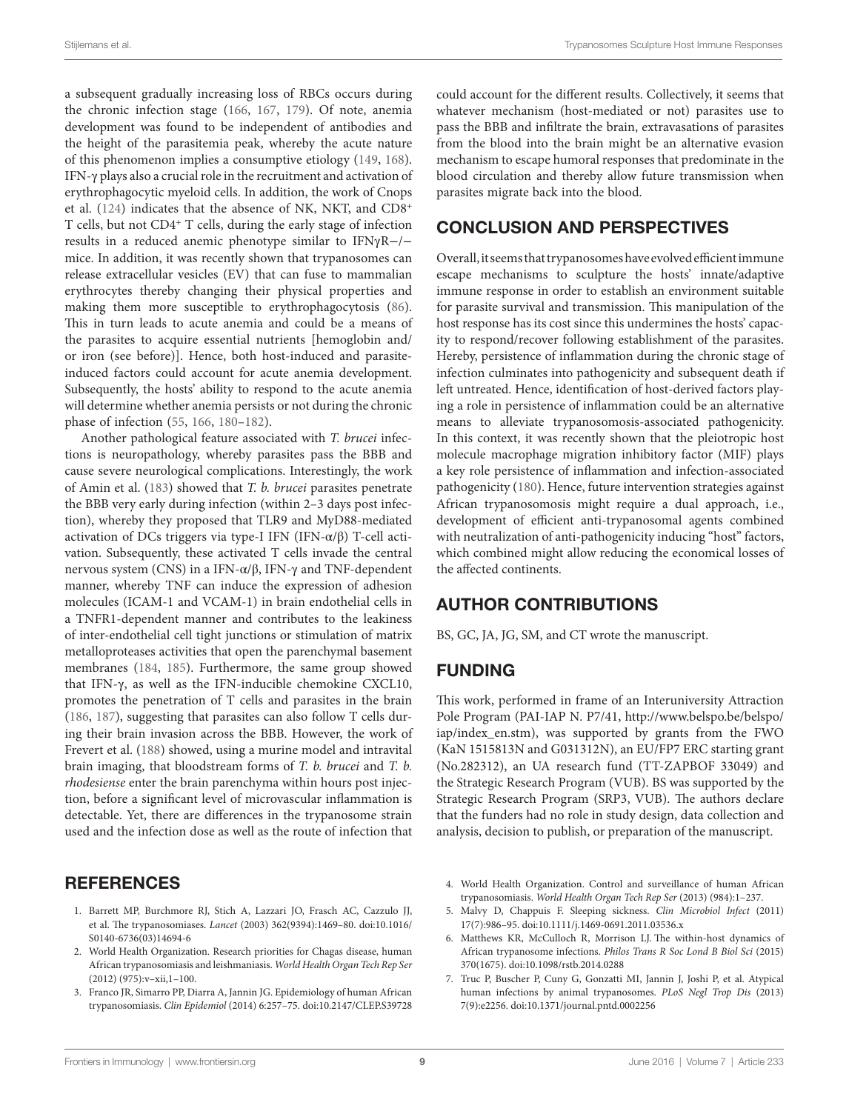a subsequent gradually increasing loss of RBCs occurs during the chronic infection stage ([166,](#page-13-3) [167,](#page-13-4) [179](#page-13-12)). Of note, anemia development was found to be independent of antibodies and the height of the parasitemia peak, whereby the acute nature of this phenomenon implies a consumptive etiology [\(149](#page-12-21), [168\)](#page-13-13). IFN-γ plays also a crucial role in the recruitment and activation of erythrophagocytic myeloid cells. In addition, the work of Cnops et al. [\(124\)](#page-11-33) indicates that the absence of NK, NKT, and CD8<sup>+</sup> T cells, but not CD4<sup>+</sup> T cells, during the early stage of infection results in a reduced anemic phenotype similar to IFNγR−/− mice. In addition, it was recently shown that trypanosomes can release extracellular vesicles (EV) that can fuse to mammalian erythrocytes thereby changing their physical properties and making them more susceptible to erythrophagocytosis ([86\)](#page-10-25). This in turn leads to acute anemia and could be a means of the parasites to acquire essential nutrients [hemoglobin and/ or iron (see before)]. Hence, both host-induced and parasiteinduced factors could account for acute anemia development. Subsequently, the hosts' ability to respond to the acute anemia will determine whether anemia persists or not during the chronic phase of infection [\(55](#page-10-4), [166](#page-13-3), [180–](#page-13-14)[182](#page-13-15)).

Another pathological feature associated with *T. brucei* infections is neuropathology, whereby parasites pass the BBB and cause severe neurological complications. Interestingly, the work of Amin et al. ([183](#page-13-16)) showed that *T. b. brucei* parasites penetrate the BBB very early during infection (within 2–3 days post infection), whereby they proposed that TLR9 and MyD88-mediated activation of DCs triggers via type-I IFN (IFN-α/β) T-cell activation. Subsequently, these activated T cells invade the central nervous system (CNS) in a IFN-α/β, IFN-γ and TNF-dependent manner, whereby TNF can induce the expression of adhesion molecules (ICAM-1 and VCAM-1) in brain endothelial cells in a TNFR1-dependent manner and contributes to the leakiness of inter-endothelial cell tight junctions or stimulation of matrix metalloproteases activities that open the parenchymal basement membranes ([184,](#page-13-17) [185](#page-13-18)). Furthermore, the same group showed that IFN-γ, as well as the IFN-inducible chemokine CXCL10, promotes the penetration of T cells and parasites in the brain ([186](#page-13-19), [187\)](#page-13-20), suggesting that parasites can also follow T cells during their brain invasion across the BBB. However, the work of Frevert et al. ([188\)](#page-13-21) showed, using a murine model and intravital brain imaging, that bloodstream forms of *T. b. brucei* and *T. b. rhodesiense* enter the brain parenchyma within hours post injection, before a significant level of microvascular inflammation is detectable. Yet, there are differences in the trypanosome strain used and the infection dose as well as the route of infection that

# **REFERENCES**

- <span id="page-8-0"></span>1. Barrett MP, Burchmore RJ, Stich A, Lazzari JO, Frasch AC, Cazzulo JJ, et al. The trypanosomiases. *Lancet* (2003) 362(9394):1469–80. doi[:10.1016/](http://dx.doi.org/10.1016/S0140-6736(03)14694-6) [S0140-6736\(03\)14694-6](http://dx.doi.org/10.1016/S0140-6736(03)14694-6)
- <span id="page-8-1"></span>2. World Health Organization. Research priorities for Chagas disease, human African trypanosomiasis and leishmaniasis. *World Health Organ Tech Rep Ser*  $(2012) (975):v-xii,1-100.$
- <span id="page-8-2"></span>3. Franco JR, Simarro PP, Diarra A, Jannin JG. Epidemiology of human African trypanosomiasis. *Clin Epidemiol* (2014) 6:257–75. doi:[10.2147/CLEP.S39728](http://dx.doi.org/10.2147/CLEP.S39728)

could account for the different results. Collectively, it seems that whatever mechanism (host-mediated or not) parasites use to pass the BBB and infiltrate the brain, extravasations of parasites from the blood into the brain might be an alternative evasion mechanism to escape humoral responses that predominate in the blood circulation and thereby allow future transmission when parasites migrate back into the blood.

# CONCLUSION AND PERSPECTIVES

Overall, it seems that trypanosomes have evolved efficient immune escape mechanisms to sculpture the hosts' innate/adaptive immune response in order to establish an environment suitable for parasite survival and transmission. This manipulation of the host response has its cost since this undermines the hosts' capacity to respond/recover following establishment of the parasites. Hereby, persistence of inflammation during the chronic stage of infection culminates into pathogenicity and subsequent death if left untreated. Hence, identification of host-derived factors playing a role in persistence of inflammation could be an alternative means to alleviate trypanosomosis-associated pathogenicity. In this context, it was recently shown that the pleiotropic host molecule macrophage migration inhibitory factor (MIF) plays a key role persistence of inflammation and infection-associated pathogenicity [\(180\)](#page-13-14). Hence, future intervention strategies against African trypanosomosis might require a dual approach, i.e., development of efficient anti-trypanosomal agents combined with neutralization of anti-pathogenicity inducing "host" factors, which combined might allow reducing the economical losses of the affected continents.

# AUTHOR CONTRIBUTIONS

BS, GC, JA, JG, SM, and CT wrote the manuscript.

# FUNDING

This work, performed in frame of an Interuniversity Attraction Pole Program (PAI-IAP N. P7/41, [http://www.belspo.be/belspo/](http://www.belspo.be/belspo/iap/index_en.stm) [iap/index\\_en.stm](http://www.belspo.be/belspo/iap/index_en.stm)), was supported by grants from the FWO (KaN 1515813N and G031312N), an EU/FP7 ERC starting grant (No.282312), an UA research fund (TT-ZAPBOF 33049) and the Strategic Research Program (VUB). BS was supported by the Strategic Research Program (SRP3, VUB). The authors declare that the funders had no role in study design, data collection and analysis, decision to publish, or preparation of the manuscript.

- <span id="page-8-3"></span>4. World Health Organization. Control and surveillance of human African trypanosomiasis. *World Health Organ Tech Rep Ser* (2013) (984):1–237.
- <span id="page-8-4"></span>5. Malvy D, Chappuis F. Sleeping sickness. *Clin Microbiol Infect* (2011) 17(7):986–95. doi:[10.1111/j.1469-0691.2011.03536.x](http://dx.doi.org/10.1111/j.1469-0691.2011.03536.x)
- <span id="page-8-5"></span>6. Matthews KR, McCulloch R, Morrison LJ. The within-host dynamics of African trypanosome infections. *Philos Trans R Soc Lond B Biol Sci* (2015) 370(1675). doi[:10.1098/rstb.2014.0288](http://dx.doi.org/10.1098/rstb.2014.0288)
- <span id="page-8-6"></span>7. Truc P, Buscher P, Cuny G, Gonzatti MI, Jannin J, Joshi P, et al. Atypical human infections by animal trypanosomes. *PLoS Negl Trop Dis* (2013) 7(9):e2256. doi:[10.1371/journal.pntd.0002256](http://dx.doi.org/10.1371/journal.pntd.0002256)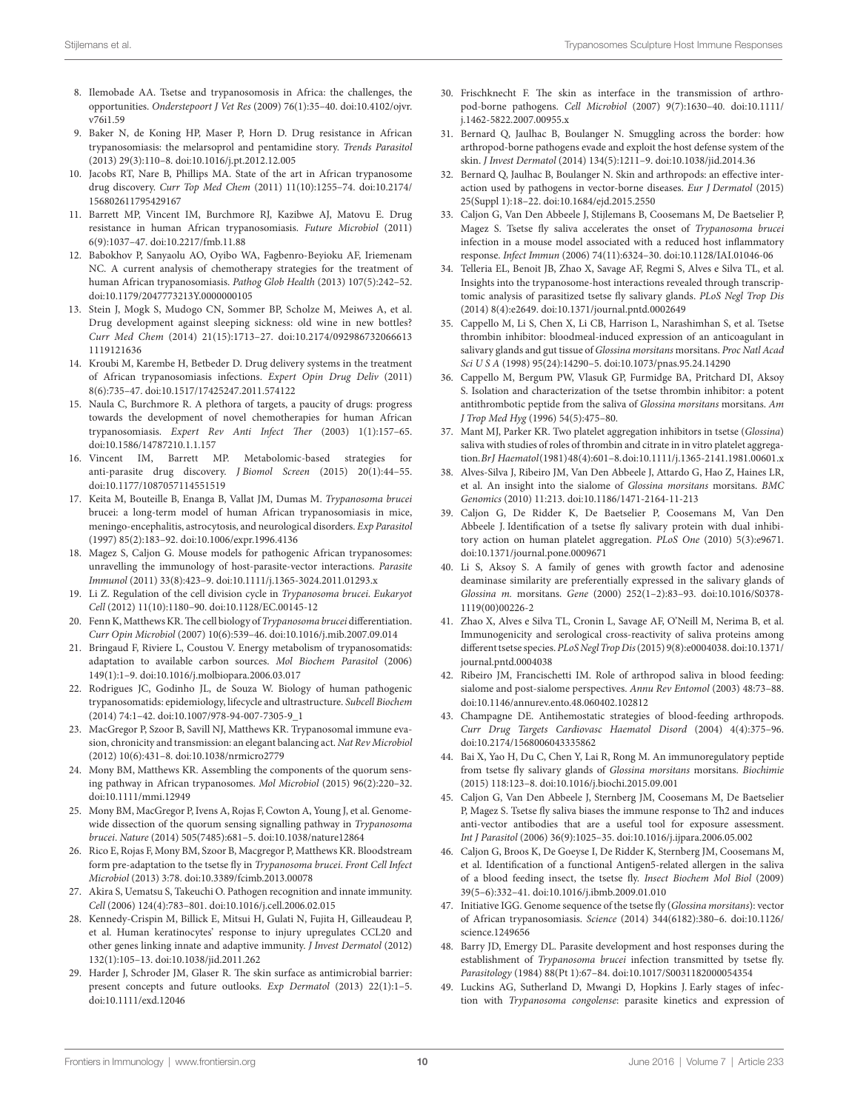- <span id="page-9-0"></span>8. Ilemobade AA. Tsetse and trypanosomosis in Africa: the challenges, the opportunities. *Onderstepoort J Vet Res* (2009) 76(1):35–40. doi[:10.4102/ojvr.](http://dx.doi.org/10.4102/ojvr.v76i1.59) [v76i1.59](http://dx.doi.org/10.4102/ojvr.v76i1.59)
- 9. Baker N, de Koning HP, Maser P, Horn D. Drug resistance in African trypanosomiasis: the melarsoprol and pentamidine story. *Trends Parasitol* (2013) 29(3):110–8. doi[:10.1016/j.pt.2012.12.005](http://dx.doi.org/10.1016/j.pt.2012.12.005)
- 10. Jacobs RT, Nare B, Phillips MA. State of the art in African trypanosome drug discovery. *Curr Top Med Chem* (2011) 11(10):1255–74. doi[:10.2174/](http://dx.doi.org/10.2174/
156802611795429167) [156802611795429167](http://dx.doi.org/10.2174/
156802611795429167)
- <span id="page-9-1"></span>11. Barrett MP, Vincent IM, Burchmore RJ, Kazibwe AJ, Matovu E. Drug resistance in human African trypanosomiasis. *Future Microbiol* (2011) 6(9):1037–47. doi:[10.2217/fmb.11.88](http://dx.doi.org/10.2217/fmb.11.88)
- <span id="page-9-2"></span>12. Babokhov P, Sanyaolu AO, Oyibo WA, Fagbenro-Beyioku AF, Iriemenam NC. A current analysis of chemotherapy strategies for the treatment of human African trypanosomiasis. *Pathog Glob Health* (2013) 107(5):242–52. doi:[10.1179/2047773213Y.0000000105](http://dx.doi.org/10.1179/2047773213Y.0000000105)
- 13. Stein J, Mogk S, Mudogo CN, Sommer BP, Scholze M, Meiwes A, et al. Drug development against sleeping sickness: old wine in new bottles? *Curr Med Chem* (2014) 21(15):1713–27. doi:[10.2174/092986732066613](http://dx.doi.org/10.2174/092986732066613
1119121636) [1119121636](http://dx.doi.org/10.2174/092986732066613
1119121636)
- 14. Kroubi M, Karembe H, Betbeder D. Drug delivery systems in the treatment of African trypanosomiasis infections. *Expert Opin Drug Deliv* (2011) 8(6):735–47. doi[:10.1517/17425247.2011.574122](http://dx.doi.org/10.1517/17425247.2011.574122)
- 15. Naula C, Burchmore R. A plethora of targets, a paucity of drugs: progress towards the development of novel chemotherapies for human African trypanosomiasis. *Expert Rev Anti Infect Ther* (2003) 1(1):157–65. doi:[10.1586/14787210.1.1.157](http://dx.doi.org/10.1586/14787210.1.1.157)
- <span id="page-9-3"></span>16. Vincent IM, Barrett MP. Metabolomic-based strategies for anti-parasite drug discovery. *J Biomol Screen* (2015) 20(1):44–55. doi:[10.1177/1087057114551519](http://dx.doi.org/10.1177/1087057114551519)
- <span id="page-9-4"></span>17. Keita M, Bouteille B, Enanga B, Vallat JM, Dumas M. *Trypanosoma brucei* brucei: a long-term model of human African trypanosomiasis in mice, meningo-encephalitis, astrocytosis, and neurological disorders. *Exp Parasitol* (1997) 85(2):183–92. doi[:10.1006/expr.1996.4136](http://dx.doi.org/10.1006/expr.1996.4136)
- <span id="page-9-5"></span>18. Magez S, Caljon G. Mouse models for pathogenic African trypanosomes: unravelling the immunology of host-parasite-vector interactions. *Parasite Immunol* (2011) 33(8):423–9. doi[:10.1111/j.1365-3024.2011.01293.x](http://dx.doi.org/10.1111/j.1365-3024.2011.01293.x)
- <span id="page-9-6"></span>19. Li Z. Regulation of the cell division cycle in *Trypanosoma brucei*. *Eukaryot Cell* (2012) 11(10):1180–90. doi[:10.1128/EC.00145-12](http://dx.doi.org/10.1128/EC.00145-12)
- <span id="page-9-27"></span>20. Fenn K, Matthews KR. The cell biology of *Trypanosoma brucei* differentiation. *Curr Opin Microbiol* (2007) 10(6):539–46. doi[:10.1016/j.mib.2007.09.014](http://dx.doi.org/10.1016/j.mib.2007.09.014)
- 21. Bringaud F, Riviere L, Coustou V. Energy metabolism of trypanosomatids: adaptation to available carbon sources. *Mol Biochem Parasitol* (2006) 149(1):1–9. doi:[10.1016/j.molbiopara.2006.03.017](http://dx.doi.org/10.1016/j.molbiopara.2006.03.017)
- <span id="page-9-7"></span>22. Rodrigues JC, Godinho JL, de Souza W. Biology of human pathogenic trypanosomatids: epidemiology, lifecycle and ultrastructure. *Subcell Biochem* (2014) 74:1–42. doi[:10.1007/978-94-007-7305-9\\_1](http://dx.doi.org/10.1007/978-94-007-7305-9_1)
- <span id="page-9-8"></span>23. MacGregor P, Szoor B, Savill NJ, Matthews KR. Trypanosomal immune evasion, chronicity and transmission: an elegant balancing act. *Nat Rev Microbiol* (2012) 10(6):431–8. doi[:10.1038/nrmicro2779](http://dx.doi.org/10.1038/nrmicro2779)
- <span id="page-9-9"></span>24. Mony BM, Matthews KR. Assembling the components of the quorum sensing pathway in African trypanosomes. *Mol Microbiol* (2015) 96(2):220–32. doi:[10.1111/mmi.12949](http://dx.doi.org/10.1111/mmi.12949)
- <span id="page-9-10"></span>25. Mony BM, MacGregor P, Ivens A, Rojas F, Cowton A, Young J, et al. Genomewide dissection of the quorum sensing signalling pathway in *Trypanosoma brucei*. *Nature* (2014) 505(7485):681–5. doi:[10.1038/nature12864](http://dx.doi.org/10.1038/nature12864)
- <span id="page-9-11"></span>26. Rico E, Rojas F, Mony BM, Szoor B, Macgregor P, Matthews KR. Bloodstream form pre-adaptation to the tsetse fly in *Trypanosoma brucei*. *Front Cell Infect Microbiol* (2013) 3:78. doi:[10.3389/fcimb.2013.00078](http://dx.doi.org/10.3389/fcimb.2013.00078)
- <span id="page-9-12"></span>27. Akira S, Uematsu S, Takeuchi O. Pathogen recognition and innate immunity. *Cell* (2006) 124(4):783–801. doi[:10.1016/j.cell.2006.02.015](http://dx.doi.org/10.1016/j.cell.2006.02.015)
- 28. Kennedy-Crispin M, Billick E, Mitsui H, Gulati N, Fujita H, Gilleaudeau P, et al. Human keratinocytes' response to injury upregulates CCL20 and other genes linking innate and adaptive immunity. *J Invest Dermatol* (2012) 132(1):105–13. doi[:10.1038/jid.2011.262](http://dx.doi.org/10.1038/jid.2011.262)
- <span id="page-9-13"></span>29. Harder J, Schroder JM, Glaser R. The skin surface as antimicrobial barrier: present concepts and future outlooks. *Exp Dermatol* (2013) 22(1):1–5. doi:[10.1111/exd.12046](http://dx.doi.org/10.1111/exd.12046)
- <span id="page-9-14"></span>30. Frischknecht F. The skin as interface in the transmission of arthropod-borne pathogens. *Cell Microbiol* (2007) 9(7):1630–40. doi[:10.1111/](http://dx.doi.org/10.1111/
j.1462-5822.2007.00955.x) [j.1462-5822.2007.00955.x](http://dx.doi.org/10.1111/
j.1462-5822.2007.00955.x)
- 31. Bernard Q, Jaulhac B, Boulanger N. Smuggling across the border: how arthropod-borne pathogens evade and exploit the host defense system of the skin. *J Invest Dermatol* (2014) 134(5):1211–9. doi[:10.1038/jid.2014.36](http://dx.doi.org/10.1038/jid.2014.36)
- <span id="page-9-15"></span>32. Bernard Q, Jaulhac B, Boulanger N. Skin and arthropods: an effective interaction used by pathogens in vector-borne diseases. *Eur J Dermatol* (2015) 25(Suppl 1):18–22. doi:[10.1684/ejd.2015.2550](http://dx.doi.org/10.1684/ejd.2015.2550)
- <span id="page-9-16"></span>33. Caljon G, Van Den Abbeele J, Stijlemans B, Coosemans M, De Baetselier P, Magez S. Tsetse fly saliva accelerates the onset of *Trypanosoma brucei* infection in a mouse model associated with a reduced host inflammatory response. *Infect Immun* (2006) 74(11):6324–30. doi[:10.1128/IAI.01046-06](http://dx.doi.org/10.1128/IAI.01046-06)
- <span id="page-9-17"></span>34. Telleria EL, Benoit JB, Zhao X, Savage AF, Regmi S, Alves e Silva TL, et al. Insights into the trypanosome-host interactions revealed through transcriptomic analysis of parasitized tsetse fly salivary glands. *PLoS Negl Trop Dis* (2014) 8(4):e2649. doi:[10.1371/journal.pntd.0002649](http://dx.doi.org/10.1371/journal.pntd.0002649)
- <span id="page-9-18"></span>35. Cappello M, Li S, Chen X, Li CB, Harrison L, Narashimhan S, et al. Tsetse thrombin inhibitor: bloodmeal-induced expression of an anticoagulant in salivary glands and gut tissue of *Glossina morsitans* morsitans. *Proc Natl Acad Sci U S A* (1998) 95(24):14290–5. doi[:10.1073/pnas.95.24.14290](http://dx.doi.org/10.1073/pnas.95.24.14290)
- 36. Cappello M, Bergum PW, Vlasuk GP, Furmidge BA, Pritchard DI, Aksoy S. Isolation and characterization of the tsetse thrombin inhibitor: a potent antithrombotic peptide from the saliva of *Glossina morsitans* morsitans. *Am J Trop Med Hyg* (1996) 54(5):475–80.
- 37. Mant MJ, Parker KR. Two platelet aggregation inhibitors in tsetse (*Glossina*) saliva with studies of roles of thrombin and citrate in in vitro platelet aggregation. *Br J Haematol* (1981) 48(4):601–8. doi[:10.1111/j.1365-2141.1981.00601.x](http://dx.doi.org/10.1111/j.1365-2141.1981.00601.x)
- 38. Alves-Silva J, Ribeiro JM, Van Den Abbeele J, Attardo G, Hao Z, Haines LR, et al. An insight into the sialome of *Glossina morsitans* morsitans. *BMC Genomics* (2010) 11:213. doi[:10.1186/1471-2164-11-213](http://dx.doi.org/10.1186/1471-2164-11-213)
- 39. Caljon G, De Ridder K, De Baetselier P, Coosemans M, Van Den Abbeele J. Identification of a tsetse fly salivary protein with dual inhibitory action on human platelet aggregation. *PLoS One* (2010) 5(3):e9671. doi:[10.1371/journal.pone.0009671](http://dx.doi.org/10.1371/journal.pone.0009671)
- 40. Li S, Aksoy S. A family of genes with growth factor and adenosine deaminase similarity are preferentially expressed in the salivary glands of *Glossina m.* morsitans. *Gene* (2000) 252(1–2):83–93. doi[:10.1016/S0378-](http://dx.doi.org/10.1016/S0378-
1119(00)00226-2) [1119\(00\)00226-2](http://dx.doi.org/10.1016/S0378-
1119(00)00226-2)
- <span id="page-9-19"></span>41. Zhao X, Alves e Silva TL, Cronin L, Savage AF, O'Neill M, Nerima B, et al. Immunogenicity and serological cross-reactivity of saliva proteins among different tsetse species. *PLoS Negl Trop Dis* (2015) 9(8):e0004038. doi[:10.1371/](http://dx.doi.org/10.1371/journal.pntd.0004038) [journal.pntd.0004038](http://dx.doi.org/10.1371/journal.pntd.0004038)
- <span id="page-9-20"></span>42. Ribeiro JM, Francischetti IM. Role of arthropod saliva in blood feeding: sialome and post-sialome perspectives. *Annu Rev Entomol* (2003) 48:73–88. doi:[10.1146/annurev.ento.48.060402.102812](http://dx.doi.org/10.1146/annurev.ento.48.060402.102812)
- 43. Champagne DE. Antihemostatic strategies of blood-feeding arthropods. *Curr Drug Targets Cardiovasc Haematol Disord* (2004) 4(4):375–96. doi:[10.2174/1568006043335862](http://dx.doi.org/10.2174/1568006043335862)
- <span id="page-9-21"></span>44. Bai X, Yao H, Du C, Chen Y, Lai R, Rong M. An immunoregulatory peptide from tsetse fly salivary glands of *Glossina morsitans* morsitans. *Biochimie* (2015) 118:123–8. doi[:10.1016/j.biochi.2015.09.001](http://dx.doi.org/10.1016/j.biochi.2015.09.001)
- <span id="page-9-22"></span>45. Caljon G, Van Den Abbeele J, Sternberg JM, Coosemans M, De Baetselier P, Magez S. Tsetse fly saliva biases the immune response to Th2 and induces anti-vector antibodies that are a useful tool for exposure assessment. *Int J Parasitol* (2006) 36(9):1025–35. doi[:10.1016/j.ijpara.2006.05.002](http://dx.doi.org/10.1016/j.ijpara.2006.05.002)
- <span id="page-9-23"></span>46. Caljon G, Broos K, De Goeyse I, De Ridder K, Sternberg JM, Coosemans M, et al. Identification of a functional Antigen5-related allergen in the saliva of a blood feeding insect, the tsetse fly. *Insect Biochem Mol Biol* (2009) 39(5–6):332–41. doi[:10.1016/j.ibmb.2009.01.010](http://dx.doi.org/10.1016/j.ibmb.2009.01.010)
- <span id="page-9-24"></span>47. Initiative IGG. Genome sequence of the tsetse fly (*Glossina morsitans*): vector of African trypanosomiasis. *Science* (2014) 344(6182):380–6. doi[:10.1126/](http://dx.doi.org/10.1126/science.1249656) [science.1249656](http://dx.doi.org/10.1126/science.1249656)
- <span id="page-9-25"></span>48. Barry JD, Emergy DL. Parasite development and host responses during the establishment of *Trypanosoma brucei* infection transmitted by tsetse fly. *Parasitology* (1984) 88(Pt 1):67–84. doi[:10.1017/S0031182000054354](http://dx.doi.org/10.1017/S0031182000054354)
- <span id="page-9-26"></span>49. Luckins AG, Sutherland D, Mwangi D, Hopkins J. Early stages of infection with *Trypanosoma congolense*: parasite kinetics and expression of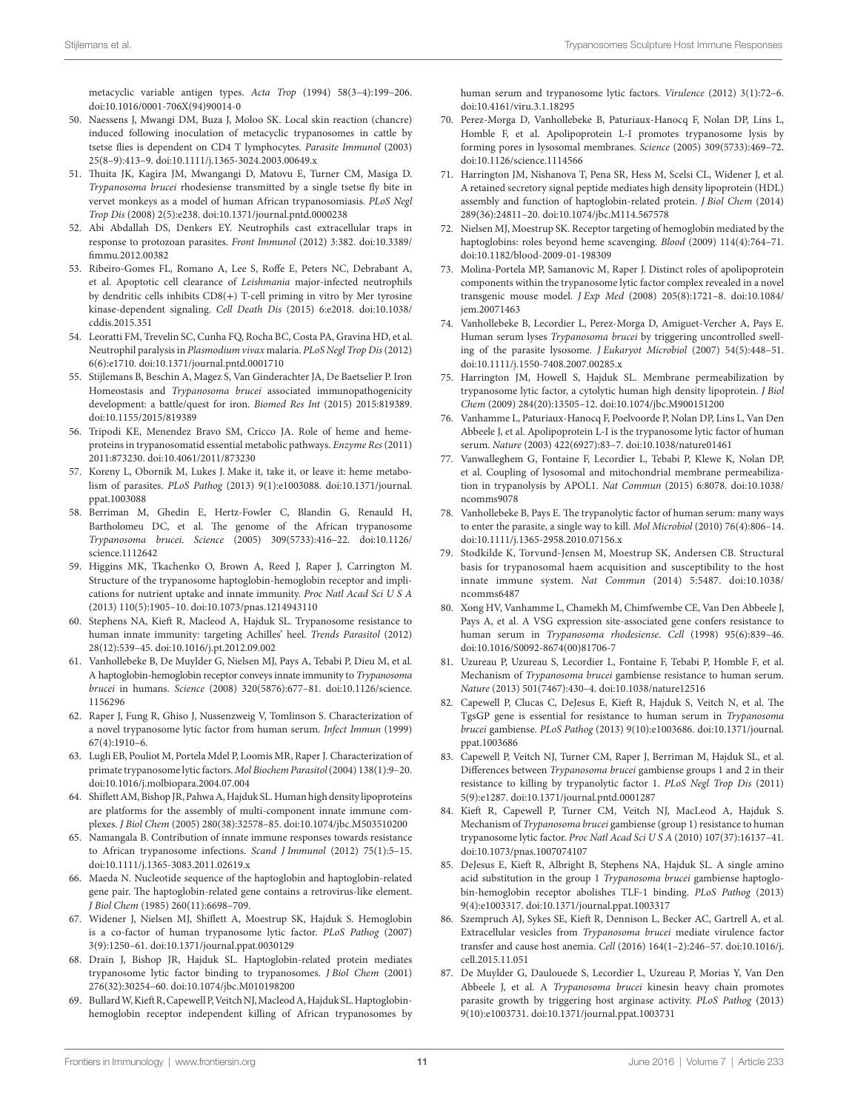<span id="page-10-0"></span>metacyclic variable antigen types. *Acta Trop* (1994) 58(3–4):199–206. doi:[10.1016/0001-706X\(94\)90014-0](http://dx.doi.org/10.1016/0001-706X(94)90014-0) 

- 50. Naessens J, Mwangi DM, Buza J, Moloo SK. Local skin reaction (chancre) induced following inoculation of metacyclic trypanosomes in cattle by tsetse flies is dependent on CD4 T lymphocytes. *Parasite Immunol* (2003) 25(8–9):413–9. doi:[10.1111/j.1365-3024.2003.00649.x](http://dx.doi.org/10.1111/j.1365-3024.2003.00649.x)
- <span id="page-10-1"></span>51. Thuita JK, Kagira JM, Mwangangi D, Matovu E, Turner CM, Masiga D. *Trypanosoma brucei* rhodesiense transmitted by a single tsetse fly bite in vervet monkeys as a model of human African trypanosomiasis. *PLoS Negl Trop Dis* (2008) 2(5):e238. doi:[10.1371/journal.pntd.0000238](http://dx.doi.org/10.1371/journal.pntd.0000238)
- <span id="page-10-2"></span>52. Abi Abdallah DS, Denkers EY. Neutrophils cast extracellular traps in response to protozoan parasites. *Front Immunol* (2012) 3:382. doi[:10.3389/](http://dx.doi.org/10.3389/fimmu.2012.00382) [fimmu.2012.00382](http://dx.doi.org/10.3389/fimmu.2012.00382)
- 53. Ribeiro-Gomes FL, Romano A, Lee S, Roffe E, Peters NC, Debrabant A, et al. Apoptotic cell clearance of *Leishmania* major-infected neutrophils by dendritic cells inhibits CD8(+) T-cell priming in vitro by Mer tyrosine kinase-dependent signaling. *Cell Death Dis* (2015) 6:e2018. doi[:10.1038/](http://dx.doi.org/10.1038/cddis.2015.351) [cddis.2015.351](http://dx.doi.org/10.1038/cddis.2015.351)
- <span id="page-10-3"></span>54. Leoratti FM, Trevelin SC, Cunha FQ, Rocha BC, Costa PA, Gravina HD, et al. Neutrophil paralysis in *Plasmodium vivax* malaria. *PLoS Negl Trop Dis* (2012) 6(6):e1710. doi:[10.1371/journal.pntd.0001710](http://dx.doi.org/10.1371/journal.pntd.0001710)
- <span id="page-10-4"></span>55. Stijlemans B, Beschin A, Magez S, Van Ginderachter JA, De Baetselier P. Iron Homeostasis and *Trypanosoma brucei* associated immunopathogenicity development: a battle/quest for iron. *Biomed Res Int* (2015) 2015:819389. doi:[10.1155/2015/819389](http://dx.doi.org/10.1155/2015/819389)
- <span id="page-10-5"></span>56. Tripodi KE, Menendez Bravo SM, Cricco JA. Role of heme and hemeproteins in trypanosomatid essential metabolic pathways. *Enzyme Res* (2011) 2011:873230. doi:[10.4061/2011/873230](http://dx.doi.org/10.4061/2011/873230)
- 57. Koreny L, Obornik M, Lukes J. Make it, take it, or leave it: heme metabolism of parasites. *PLoS Pathog* (2013) 9(1):e1003088. doi:[10.1371/journal.](http://dx.doi.org/10.1371/journal.ppat.1003088) [ppat.1003088](http://dx.doi.org/10.1371/journal.ppat.1003088)
- <span id="page-10-6"></span>58. Berriman M, Ghedin E, Hertz-Fowler C, Blandin G, Renauld H, Bartholomeu DC, et al. The genome of the African trypanosome *Trypanosoma brucei*. *Science* (2005) 309(5733):416–22. doi:[10.1126/](http://dx.doi.org/10.1126/science.1112642) [science.1112642](http://dx.doi.org/10.1126/science.1112642)
- <span id="page-10-7"></span>59. Higgins MK, Tkachenko O, Brown A, Reed J, Raper J, Carrington M. Structure of the trypanosome haptoglobin-hemoglobin receptor and implications for nutrient uptake and innate immunity. *Proc Natl Acad Sci U S A* (2013) 110(5):1905–10. doi[:10.1073/pnas.1214943110](http://dx.doi.org/10.1073/pnas.1214943110)
- <span id="page-10-8"></span>60. Stephens NA, Kieft R, Macleod A, Hajduk SL. Trypanosome resistance to human innate immunity: targeting Achilles' heel. *Trends Parasitol* (2012) 28(12):539–45. doi[:10.1016/j.pt.2012.09.002](http://dx.doi.org/10.1016/j.pt.2012.09.002)
- <span id="page-10-9"></span>61. Vanhollebeke B, De Muylder G, Nielsen MJ, Pays A, Tebabi P, Dieu M, et al. A haptoglobin-hemoglobin receptor conveys innate immunity to *Trypanosoma brucei* in humans. *Science* (2008) 320(5876):677–81. doi[:10.1126/science.](http://dx.doi.org/10.1126/science.
1156296) [1156296](http://dx.doi.org/10.1126/science.
1156296)
- <span id="page-10-10"></span>62. Raper J, Fung R, Ghiso J, Nussenzweig V, Tomlinson S. Characterization of a novel trypanosome lytic factor from human serum. *Infect Immun* (1999) 67(4):1910–6.
- 63. Lugli EB, Pouliot M, Portela Mdel P, Loomis MR, Raper J. Characterization of primate trypanosome lytic factors. *Mol Biochem Parasitol* (2004) 138(1):9–20. doi:[10.1016/j.molbiopara.2004.07.004](http://dx.doi.org/10.1016/j.molbiopara.2004.07.004)
- 64. Shiflett AM, Bishop JR, Pahwa A, Hajduk SL. Human high density lipoproteins are platforms for the assembly of multi-component innate immune complexes. *J Biol Chem* (2005) 280(38):32578–85. doi[:10.1074/jbc.M503510200](http://dx.doi.org/10.1074/jbc.M503510200)
- <span id="page-10-11"></span>65. Namangala B. Contribution of innate immune responses towards resistance to African trypanosome infections. *Scand J Immunol* (2012) 75(1):5–15. doi:[10.1111/j.1365-3083.2011.02619.x](http://dx.doi.org/10.1111/j.1365-3083.2011.02619.x)
- <span id="page-10-12"></span>66. Maeda N. Nucleotide sequence of the haptoglobin and haptoglobin-related gene pair. The haptoglobin-related gene contains a retrovirus-like element. *J Biol Chem* (1985) 260(11):6698–709.
- <span id="page-10-13"></span>67. Widener J, Nielsen MJ, Shiflett A, Moestrup SK, Hajduk S. Hemoglobin is a co-factor of human trypanosome lytic factor. *PLoS Pathog* (2007) 3(9):1250–61. doi:[10.1371/journal.ppat.0030129](http://dx.doi.org/10.1371/journal.ppat.0030129)
- <span id="page-10-14"></span>68. Drain J, Bishop JR, Hajduk SL. Haptoglobin-related protein mediates trypanosome lytic factor binding to trypanosomes. *J Biol Chem* (2001) 276(32):30254–60. doi[:10.1074/jbc.M010198200](http://dx.doi.org/10.1074/jbc.M010198200)
- <span id="page-10-15"></span>69. Bullard W, Kieft R, Capewell P, Veitch NJ, Macleod A, Hajduk SL. Haptoglobinhemoglobin receptor independent killing of African trypanosomes by

<span id="page-10-16"></span>human serum and trypanosome lytic factors. *Virulence* (2012) 3(1):72–6. doi:[10.4161/viru.3.1.18295](http://dx.doi.org/10.4161/viru.3.1.18295) 

- 70. Perez-Morga D, Vanhollebeke B, Paturiaux-Hanocq F, Nolan DP, Lins L, Homble F, et al. Apolipoprotein L-I promotes trypanosome lysis by forming pores in lysosomal membranes. *Science* (2005) 309(5733):469–72. doi:[10.1126/science.1114566](http://dx.doi.org/10.1126/science.1114566)
- 71. Harrington JM, Nishanova T, Pena SR, Hess M, Scelsi CL, Widener J, et al. A retained secretory signal peptide mediates high density lipoprotein (HDL) assembly and function of haptoglobin-related protein. *J Biol Chem* (2014) 289(36):24811–20. doi:[10.1074/jbc.M114.567578](http://dx.doi.org/10.1074/jbc.M114.567578)
- 72. Nielsen MJ, Moestrup SK. Receptor targeting of hemoglobin mediated by the haptoglobins: roles beyond heme scavenging. *Blood* (2009) 114(4):764–71. doi:[10.1182/blood-2009-01-198309](http://dx.doi.org/10.1182/blood-2009-01-198309)
- <span id="page-10-19"></span>73. Molina-Portela MP, Samanovic M, Raper J. Distinct roles of apolipoprotein components within the trypanosome lytic factor complex revealed in a novel transgenic mouse model. *J Exp Med* (2008) 205(8):1721–8. doi[:10.1084/](http://dx.doi.org/10.1084/jem.20071463) [jem.20071463](http://dx.doi.org/10.1084/jem.20071463)
- 74. Vanhollebeke B, Lecordier L, Perez-Morga D, Amiguet-Vercher A, Pays E. Human serum lyses *Trypanosoma brucei* by triggering uncontrolled swelling of the parasite lysosome. *J Eukaryot Microbiol* (2007) 54(5):448–51. doi:[10.1111/j.1550-7408.2007.00285.x](http://dx.doi.org/10.1111/j.1550-7408.2007.00285.x)
- 75. Harrington JM, Howell S, Hajduk SL. Membrane permeabilization by trypanosome lytic factor, a cytolytic human high density lipoprotein. *J Biol Chem* (2009) 284(20):13505–12. doi[:10.1074/jbc.M900151200](http://dx.doi.org/10.1074/jbc.M900151200)
- <span id="page-10-17"></span>76. Vanhamme L, Paturiaux-Hanocq F, Poelvoorde P, Nolan DP, Lins L, Van Den Abbeele J, et al. Apolipoprotein L-I is the trypanosome lytic factor of human serum. *Nature* (2003) 422(6927):83–7. doi[:10.1038/nature01461](http://dx.doi.org/10.1038/nature01461)
- <span id="page-10-18"></span>77. Vanwalleghem G, Fontaine F, Lecordier L, Tebabi P, Klewe K, Nolan DP, et al. Coupling of lysosomal and mitochondrial membrane permeabilization in trypanolysis by APOL1. *Nat Commun* (2015) 6:8078. doi[:10.1038/](http://dx.doi.org/10.1038/ncomms9078) [ncomms9078](http://dx.doi.org/10.1038/ncomms9078)
- <span id="page-10-20"></span>78. Vanhollebeke B, Pays E. The trypanolytic factor of human serum: many ways to enter the parasite, a single way to kill. *Mol Microbiol* (2010) 76(4):806–14. doi:[10.1111/j.1365-2958.2010.07156.x](http://dx.doi.org/10.1111/j.1365-2958.2010.07156.x)
- <span id="page-10-21"></span>79. Stodkilde K, Torvund-Jensen M, Moestrup SK, Andersen CB. Structural basis for trypanosomal haem acquisition and susceptibility to the host innate immune system. *Nat Commun* (2014) 5:5487. doi[:10.1038/](http://dx.doi.org/10.1038/ncomms6487) [ncomms6487](http://dx.doi.org/10.1038/ncomms6487)
- <span id="page-10-22"></span>80. Xong HV, Vanhamme L, Chamekh M, Chimfwembe CE, Van Den Abbeele J, Pays A, et al. A VSG expression site-associated gene confers resistance to human serum in *Trypanosoma rhodesiense*. *Cell* (1998) 95(6):839–46. doi:[10.1016/S0092-8674\(00\)81706-7](http://dx.doi.org/10.1016/S0092-8674(00)81706-7)
- 81. Uzureau P, Uzureau S, Lecordier L, Fontaine F, Tebabi P, Homble F, et al. Mechanism of *Trypanosoma brucei* gambiense resistance to human serum. *Nature* (2013) 501(7467):430–4. doi:[10.1038/nature12516](http://dx.doi.org/10.1038/nature12516)
- <span id="page-10-23"></span>82. Capewell P, Clucas C, DeJesus E, Kieft R, Hajduk S, Veitch N, et al. The TgsGP gene is essential for resistance to human serum in *Trypanosoma brucei* gambiense. *PLoS Pathog* (2013) 9(10):e1003686. doi:[10.1371/journal.](http://dx.doi.org/10.1371/journal.ppat.1003686) [ppat.1003686](http://dx.doi.org/10.1371/journal.ppat.1003686)
- 83. Capewell P, Veitch NJ, Turner CM, Raper J, Berriman M, Hajduk SL, et al. Differences between *Trypanosoma brucei* gambiense groups 1 and 2 in their resistance to killing by trypanolytic factor 1. *PLoS Negl Trop Dis* (2011) 5(9):e1287. doi:[10.1371/journal.pntd.0001287](http://dx.doi.org/10.1371/journal.pntd.0001287)
- 84. Kieft R, Capewell P, Turner CM, Veitch NJ, MacLeod A, Hajduk S. Mechanism of *Trypanosoma brucei* gambiense (group 1) resistance to human trypanosome lytic factor. *Proc Natl Acad Sci U S A* (2010) 107(37):16137–41. doi:[10.1073/pnas.1007074107](http://dx.doi.org/10.1073/pnas.1007074107)
- <span id="page-10-24"></span>85. DeJesus E, Kieft R, Albright B, Stephens NA, Hajduk SL. A single amino acid substitution in the group 1 *Trypanosoma brucei* gambiense haptoglobin-hemoglobin receptor abolishes TLF-1 binding. *PLoS Pathog* (2013) 9(4):e1003317. doi[:10.1371/journal.ppat.1003317](http://dx.doi.org/10.1371/journal.ppat.1003317)
- <span id="page-10-25"></span>86. Szempruch AJ, Sykes SE, Kieft R, Dennison L, Becker AC, Gartrell A, et al. Extracellular vesicles from *Trypanosoma brucei* mediate virulence factor transfer and cause host anemia. *Cell* (2016) 164(1–2):246–57. doi:[10.1016/j.](http://dx.doi.org/10.1016/j.cell.2015.11.051) [cell.2015.11.051](http://dx.doi.org/10.1016/j.cell.2015.11.051)
- <span id="page-10-26"></span>87. De Muylder G, Daulouede S, Lecordier L, Uzureau P, Morias Y, Van Den Abbeele J, et al. A *Trypanosoma brucei* kinesin heavy chain promotes parasite growth by triggering host arginase activity. *PLoS Pathog* (2013) 9(10):e1003731. doi[:10.1371/journal.ppat.1003731](http://dx.doi.org/10.1371/journal.ppat.1003731)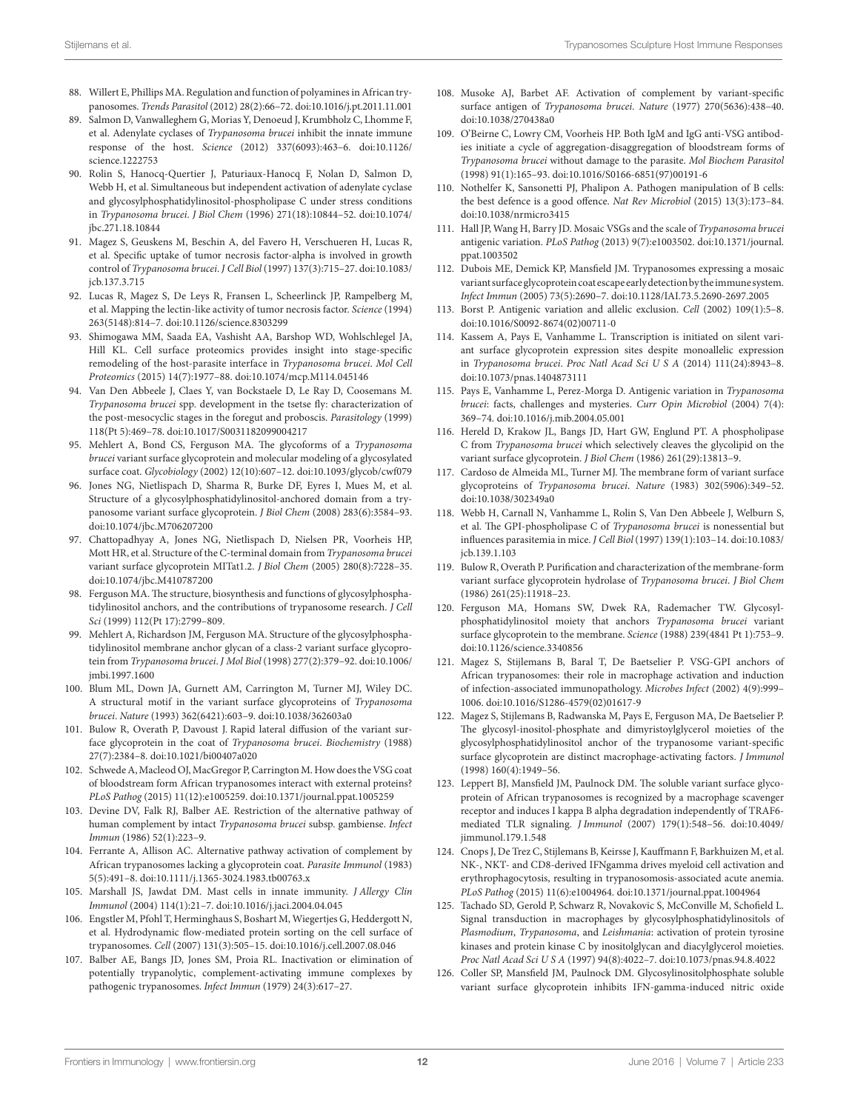- <span id="page-11-0"></span>88. Willert E, Phillips MA. Regulation and function of polyamines in African trypanosomes. *Trends Parasitol* (2012) 28(2):66–72. doi[:10.1016/j.pt.2011.11.001](http://dx.doi.org/10.1016/j.pt.2011.11.001)
- <span id="page-11-1"></span>89. Salmon D, Vanwalleghem G, Morias Y, Denoeud J, Krumbholz C, Lhomme F, et al. Adenylate cyclases of *Trypanosoma brucei* inhibit the innate immune response of the host. *Science* (2012) 337(6093):463–6. doi[:10.1126/](http://dx.doi.org/10.1126/science.1222753) [science.1222753](http://dx.doi.org/10.1126/science.1222753)
- <span id="page-11-2"></span>90. Rolin S, Hanocq-Quertier J, Paturiaux-Hanocq F, Nolan D, Salmon D, Webb H, et al. Simultaneous but independent activation of adenylate cyclase and glycosylphosphatidylinositol-phospholipase C under stress conditions in *Trypanosoma brucei*. *J Biol Chem* (1996) 271(18):10844–52. doi[:10.1074/](http://dx.doi.org/10.1074/jbc.271.18.10844) [jbc.271.18.10844](http://dx.doi.org/10.1074/jbc.271.18.10844)
- <span id="page-11-3"></span>91. Magez S, Geuskens M, Beschin A, del Favero H, Verschueren H, Lucas R, et al. Specific uptake of tumor necrosis factor-alpha is involved in growth control of *Trypanosoma brucei*. *J Cell Biol* (1997) 137(3):715–27. doi[:10.1083/](http://dx.doi.org/10.1083/jcb.137.3.715) [jcb.137.3.715](http://dx.doi.org/10.1083/jcb.137.3.715)
- <span id="page-11-4"></span>92. Lucas R, Magez S, De Leys R, Fransen L, Scheerlinck JP, Rampelberg M, et al. Mapping the lectin-like activity of tumor necrosis factor. *Science* (1994) 263(5148):814–7. doi:[10.1126/science.8303299](http://dx.doi.org/10.1126/science.8303299)
- <span id="page-11-5"></span>93. Shimogawa MM, Saada EA, Vashisht AA, Barshop WD, Wohlschlegel JA, Hill KL. Cell surface proteomics provides insight into stage-specific remodeling of the host-parasite interface in *Trypanosoma brucei*. *Mol Cell Proteomics* (2015) 14(7):1977–88. doi[:10.1074/mcp.M114.045146](http://dx.doi.org/10.1074/mcp.M114.045146)
- <span id="page-11-6"></span>94. Van Den Abbeele J, Claes Y, van Bockstaele D, Le Ray D, Coosemans M. *Trypanosoma brucei* spp. development in the tsetse fly: characterization of the post-mesocyclic stages in the foregut and proboscis. *Parasitology* (1999) 118(Pt 5):469–78. doi:[10.1017/S0031182099004217](http://dx.doi.org/10.1017/S0031182099004217)
- <span id="page-11-7"></span>95. Mehlert A, Bond CS, Ferguson MA. The glycoforms of a *Trypanosoma brucei* variant surface glycoprotein and molecular modeling of a glycosylated surface coat. *Glycobiology* (2002) 12(10):607–12. doi:[10.1093/glycob/cwf079](http://dx.doi.org/10.1093/glycob/cwf079)
- <span id="page-11-8"></span>96. Jones NG, Nietlispach D, Sharma R, Burke DF, Eyres I, Mues M, et al. Structure of a glycosylphosphatidylinositol-anchored domain from a trypanosome variant surface glycoprotein. *J Biol Chem* (2008) 283(6):3584–93. doi:[10.1074/jbc.M706207200](http://dx.doi.org/10.1074/jbc.M706207200)
- 97. Chattopadhyay A, Jones NG, Nietlispach D, Nielsen PR, Voorheis HP, Mott HR, et al. Structure of the C-terminal domain from *Trypanosoma brucei* variant surface glycoprotein MITat1.2. *J Biol Chem* (2005) 280(8):7228–35. doi:[10.1074/jbc.M410787200](http://dx.doi.org/10.1074/jbc.M410787200)
- 98. Ferguson MA. The structure, biosynthesis and functions of glycosylphosphatidylinositol anchors, and the contributions of trypanosome research. *J Cell Sci* (1999) 112(Pt 17):2799–809.
- <span id="page-11-9"></span>99. Mehlert A, Richardson JM, Ferguson MA. Structure of the glycosylphosphatidylinositol membrane anchor glycan of a class-2 variant surface glycoprotein from *Trypanosoma brucei*. *J Mol Biol* (1998) 277(2):379–92. doi[:10.1006/](http://dx.doi.org/10.1006/jmbi.1997.1600) [jmbi.1997.1600](http://dx.doi.org/10.1006/jmbi.1997.1600)
- <span id="page-11-10"></span>100. Blum ML, Down JA, Gurnett AM, Carrington M, Turner MJ, Wiley DC. A structural motif in the variant surface glycoproteins of *Trypanosoma brucei*. *Nature* (1993) 362(6421):603–9. doi:[10.1038/362603a0](http://dx.doi.org/10.1038/362603a0)
- <span id="page-11-11"></span>101. Bulow R, Overath P, Davoust J. Rapid lateral diffusion of the variant surface glycoprotein in the coat of *Trypanosoma brucei*. *Biochemistry* (1988) 27(7):2384–8. doi:[10.1021/bi00407a020](http://dx.doi.org/10.1021/bi00407a020)
- <span id="page-11-12"></span>102. Schwede A, Macleod OJ, MacGregor P, Carrington M. How does the VSG coat of bloodstream form African trypanosomes interact with external proteins? *PLoS Pathog* (2015) 11(12):e1005259. doi:[10.1371/journal.ppat.1005259](http://dx.doi.org/10.1371/journal.ppat.1005259)
- <span id="page-11-13"></span>103. Devine DV, Falk RJ, Balber AE. Restriction of the alternative pathway of human complement by intact *Trypanosoma brucei* subsp. gambiense. *Infect Immun* (1986) 52(1):223–9.
- <span id="page-11-14"></span>104. Ferrante A, Allison AC. Alternative pathway activation of complement by African trypanosomes lacking a glycoprotein coat. *Parasite Immunol* (1983) 5(5):491–8. doi:[10.1111/j.1365-3024.1983.tb00763.x](http://dx.doi.org/10.1111/j.1365-3024.1983.tb00763.x)
- <span id="page-11-15"></span>105. Marshall JS, Jawdat DM. Mast cells in innate immunity. *J Allergy Clin Immunol* (2004) 114(1):21–7. doi[:10.1016/j.jaci.2004.04.045](http://dx.doi.org/10.1016/j.jaci.2004.04.045)
- <span id="page-11-16"></span>106. Engstler M, Pfohl T, Herminghaus S, Boshart M, Wiegertjes G, Heddergott N, et al. Hydrodynamic flow-mediated protein sorting on the cell surface of trypanosomes. *Cell* (2007) 131(3):505–15. doi:[10.1016/j.cell.2007.08.046](http://dx.doi.org/10.1016/j.cell.2007.08.046)
- <span id="page-11-17"></span>107. Balber AE, Bangs JD, Jones SM, Proia RL. Inactivation or elimination of potentially trypanolytic, complement-activating immune complexes by pathogenic trypanosomes. *Infect Immun* (1979) 24(3):617–27.
- <span id="page-11-18"></span>108. Musoke AJ, Barbet AF. Activation of complement by variant-specific surface antigen of *Trypanosoma brucei*. *Nature* (1977) 270(5636):438–40. doi:[10.1038/270438a0](http://dx.doi.org/10.1038/270438a0)
- <span id="page-11-19"></span>109. O'Beirne C, Lowry CM, Voorheis HP. Both IgM and IgG anti-VSG antibodies initiate a cycle of aggregation-disaggregation of bloodstream forms of *Trypanosoma brucei* without damage to the parasite. *Mol Biochem Parasitol* (1998) 91(1):165–93. doi:[10.1016/S0166-6851\(97\)00191-6](http://dx.doi.org/10.1016/S0166-6851(97)00191-6)
- <span id="page-11-20"></span>110. Nothelfer K, Sansonetti PJ, Phalipon A. Pathogen manipulation of B cells: the best defence is a good offence. *Nat Rev Microbiol* (2015) 13(3):173–84. doi:[10.1038/nrmicro3415](http://dx.doi.org/10.1038/nrmicro3415)
- <span id="page-11-21"></span>111. Hall JP, Wang H, Barry JD. Mosaic VSGs and the scale of *Trypanosoma brucei* antigenic variation. *PLoS Pathog* (2013) 9(7):e1003502. doi:[10.1371/journal.](http://dx.doi.org/10.1371/journal.ppat.1003502) [ppat.1003502](http://dx.doi.org/10.1371/journal.ppat.1003502)
- <span id="page-11-22"></span>112. Dubois ME, Demick KP, Mansfield JM. Trypanosomes expressing a mosaic variant surface glycoprotein coat escape early detection by the immune system. *Infect Immun* (2005) 73(5):2690–7. doi[:10.1128/IAI.73.5.2690-2697.2005](http://dx.doi.org/10.1128/IAI.73.5.2690-2697.2005)
- <span id="page-11-23"></span>113. Borst P. Antigenic variation and allelic exclusion. *Cell* (2002) 109(1):5–8. doi:[10.1016/S0092-8674\(02\)00711-0](http://dx.doi.org/10.1016/S0092-8674(02)00711-0)
- 114. Kassem A, Pays E, Vanhamme L. Transcription is initiated on silent variant surface glycoprotein expression sites despite monoallelic expression in *Trypanosoma brucei*. *Proc Natl Acad Sci U S A* (2014) 111(24):8943–8. doi:[10.1073/pnas.1404873111](http://dx.doi.org/10.1073/pnas.1404873111)
- <span id="page-11-24"></span>115. Pays E, Vanhamme L, Perez-Morga D. Antigenic variation in *Trypanosoma brucei*: facts, challenges and mysteries. *Curr Opin Microbiol* (2004) 7(4): 369–74. doi:[10.1016/j.mib.2004.05.001](http://dx.doi.org/10.1016/j.mib.2004.05.001)
- <span id="page-11-25"></span>116. Hereld D, Krakow JL, Bangs JD, Hart GW, Englund PT. A phospholipase C from *Trypanosoma brucei* which selectively cleaves the glycolipid on the variant surface glycoprotein. *J Biol Chem* (1986) 261(29):13813–9.
- <span id="page-11-26"></span>117. Cardoso de Almeida ML, Turner MJ. The membrane form of variant surface glycoproteins of *Trypanosoma brucei*. *Nature* (1983) 302(5906):349–52. doi:[10.1038/302349a0](http://dx.doi.org/10.1038/302349a0)
- <span id="page-11-27"></span>118. Webb H, Carnall N, Vanhamme L, Rolin S, Van Den Abbeele J, Welburn S, et al. The GPI-phospholipase C of *Trypanosoma brucei* is nonessential but influences parasitemia in mice. *J Cell Biol* (1997) 139(1):103–14. doi[:10.1083/](http://dx.doi.org/10.1083/jcb.139.1.103) [jcb.139.1.103](http://dx.doi.org/10.1083/jcb.139.1.103)
- <span id="page-11-28"></span>119. Bulow R, Overath P. Purification and characterization of the membrane-form variant surface glycoprotein hydrolase of *Trypanosoma brucei*. *J Biol Chem* (1986) 261(25):11918–23.
- <span id="page-11-29"></span>120. Ferguson MA, Homans SW, Dwek RA, Rademacher TW. Glycosylphosphatidylinositol moiety that anchors *Trypanosoma brucei* variant surface glycoprotein to the membrane. *Science* (1988) 239(4841 Pt 1):753–9. doi:[10.1126/science.3340856](http://dx.doi.org/10.1126/science.3340856)
- <span id="page-11-30"></span>121. Magez S, Stijlemans B, Baral T, De Baetselier P. VSG-GPI anchors of African trypanosomes: their role in macrophage activation and induction of infection-associated immunopathology. *Microbes Infect* (2002) 4(9):999– 1006. doi[:10.1016/S1286-4579\(02\)01617-9](http://dx.doi.org/10.1016/S1286-4579(02)01617-9)
- <span id="page-11-31"></span>122. Magez S, Stijlemans B, Radwanska M, Pays E, Ferguson MA, De Baetselier P. The glycosyl-inositol-phosphate and dimyristoylglycerol moieties of the glycosylphosphatidylinositol anchor of the trypanosome variant-specific surface glycoprotein are distinct macrophage-activating factors. *J Immunol* (1998) 160(4):1949–56.
- <span id="page-11-32"></span>123. Leppert BJ, Mansfield JM, Paulnock DM. The soluble variant surface glycoprotein of African trypanosomes is recognized by a macrophage scavenger receptor and induces I kappa B alpha degradation independently of TRAF6 mediated TLR signaling. *J Immunol* (2007) 179(1):548–56. doi[:10.4049/](http://dx.doi.org/10.4049/jimmunol.179.1.548) [jimmunol.179.1.548](http://dx.doi.org/10.4049/jimmunol.179.1.548)
- <span id="page-11-33"></span>124. Cnops J, De Trez C, Stijlemans B, Keirsse J, Kauffmann F, Barkhuizen M, et al. NK-, NKT- and CD8-derived IFNgamma drives myeloid cell activation and erythrophagocytosis, resulting in trypanosomosis-associated acute anemia. *PLoS Pathog* (2015) 11(6):e1004964. doi[:10.1371/journal.ppat.1004964](http://dx.doi.org/10.1371/journal.ppat.1004964)
- <span id="page-11-34"></span>125. Tachado SD, Gerold P, Schwarz R, Novakovic S, McConville M, Schofield L. Signal transduction in macrophages by glycosylphosphatidylinositols of *Plasmodium*, *Trypanosoma*, and *Leishmania*: activation of protein tyrosine kinases and protein kinase C by inositolglycan and diacylglycerol moieties. *Proc Natl Acad Sci U S A* (1997) 94(8):4022–7. doi:[10.1073/pnas.94.8.4022](http://dx.doi.org/10.1073/pnas.94.8.4022)
- <span id="page-11-35"></span>126. Coller SP, Mansfield JM, Paulnock DM. Glycosylinositolphosphate soluble variant surface glycoprotein inhibits IFN-gamma-induced nitric oxide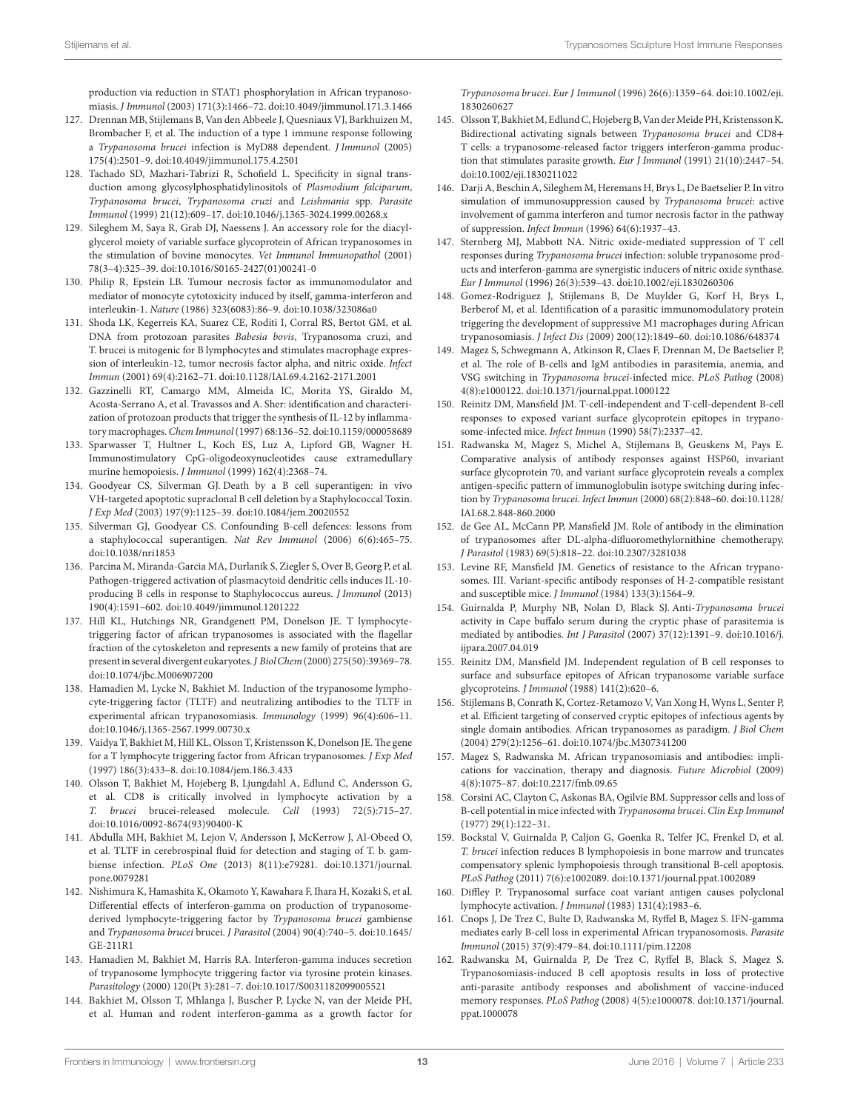<span id="page-12-0"></span>production via reduction in STAT1 phosphorylation in African trypanosomiasis. *J Immunol* (2003) 171(3):1466–72. doi:[10.4049/jimmunol.171.3.1466](http://dx.doi.org/10.4049/jimmunol.171.3.1466)

- 127. Drennan MB, Stijlemans B, Van den Abbeele J, Quesniaux VJ, Barkhuizen M, Brombacher F, et al. The induction of a type 1 immune response following a *Trypanosoma brucei* infection is MyD88 dependent. *J Immunol* (2005) 175(4):2501–9. doi[:10.4049/jimmunol.175.4.2501](http://dx.doi.org/10.4049/jimmunol.175.4.2501)
- <span id="page-12-1"></span>128. Tachado SD, Mazhari-Tabrizi R, Schofield L. Specificity in signal transduction among glycosylphosphatidylinositols of *Plasmodium falciparum*, *Trypanosoma brucei*, *Trypanosoma cruzi* and *Leishmania* spp. *Parasite Immunol* (1999) 21(12):609–17. doi[:10.1046/j.1365-3024.1999.00268.x](http://dx.doi.org/10.1046/j.1365-3024.1999.00268.x)
- <span id="page-12-2"></span>129. Sileghem M, Saya R, Grab DJ, Naessens J. An accessory role for the diacylglycerol moiety of variable surface glycoprotein of African trypanosomes in the stimulation of bovine monocytes. *Vet Immunol Immunopathol* (2001) 78(3–4):325–39. doi[:10.1016/S0165-2427\(01\)00241-0](http://dx.doi.org/10.1016/S0165-2427(01)00241-0)
- <span id="page-12-3"></span>130. Philip R, Epstein LB. Tumour necrosis factor as immunomodulator and mediator of monocyte cytotoxicity induced by itself, gamma-interferon and interleukin-1. *Nature* (1986) 323(6083):86–9. doi[:10.1038/323086a0](http://dx.doi.org/10.1038/323086a0)
- <span id="page-12-4"></span>131. Shoda LK, Kegerreis KA, Suarez CE, Roditi I, Corral RS, Bertot GM, et al. DNA from protozoan parasites *Babesia bovis*, Trypanosoma cruzi, and T. brucei is mitogenic for B lymphocytes and stimulates macrophage expression of interleukin-12, tumor necrosis factor alpha, and nitric oxide. *Infect Immun* (2001) 69(4):2162–71. doi[:10.1128/IAI.69.4.2162-2171.2001](http://dx.doi.org/10.1128/IAI.69.4.2162-2171.2001)
- <span id="page-12-5"></span>132. Gazzinelli RT, Camargo MM, Almeida IC, Morita YS, Giraldo M, Acosta-Serrano A, et al. Travassos and A. Sher: identification and characterization of protozoan products that trigger the synthesis of IL-12 by inflammatory macrophages. *Chem Immunol* (1997) 68:136–52. doi:[10.1159/000058689](http://dx.doi.org/10.1159/000058689)
- <span id="page-12-6"></span>133. Sparwasser T, Hultner L, Koch ES, Luz A, Lipford GB, Wagner H. Immunostimulatory CpG-oligodeoxynucleotides cause extramedullary murine hemopoiesis. *J Immunol* (1999) 162(4):2368–74.
- <span id="page-12-7"></span>134. Goodyear CS, Silverman GJ. Death by a B cell superantigen: in vivo VH-targeted apoptotic supraclonal B cell deletion by a Staphylococcal Toxin. *J Exp Med* (2003) 197(9):1125–39. doi[:10.1084/jem.20020552](http://dx.doi.org/10.1084/jem.20020552)
- <span id="page-12-8"></span>135. Silverman GJ, Goodyear CS. Confounding B-cell defences: lessons from a staphylococcal superantigen. *Nat Rev Immunol* (2006) 6(6):465–75. doi:[10.1038/nri1853](http://dx.doi.org/10.1038/nri1853)
- <span id="page-12-9"></span>136. Parcina M, Miranda-Garcia MA, Durlanik S, Ziegler S, Over B, Georg P, et al. Pathogen-triggered activation of plasmacytoid dendritic cells induces IL-10 producing B cells in response to Staphylococcus aureus. *J Immunol* (2013) 190(4):1591–602. doi:[10.4049/jimmunol.1201222](http://dx.doi.org/10.4049/jimmunol.1201222)
- <span id="page-12-10"></span>137. Hill KL, Hutchings NR, Grandgenett PM, Donelson JE. T lymphocytetriggering factor of african trypanosomes is associated with the flagellar fraction of the cytoskeleton and represents a new family of proteins that are present in several divergent eukaryotes. *J Biol Chem* (2000) 275(50):39369–78. doi:[10.1074/jbc.M006907200](http://dx.doi.org/10.1074/jbc.M006907200)
- <span id="page-12-12"></span>138. Hamadien M, Lycke N, Bakhiet M. Induction of the trypanosome lymphocyte-triggering factor (TLTF) and neutralizing antibodies to the TLTF in experimental african trypanosomiasis. *Immunology* (1999) 96(4):606–11. doi:[10.1046/j.1365-2567.1999.00730.x](http://dx.doi.org/10.1046/j.1365-2567.1999.00730.x)
- 139. Vaidya T, Bakhiet M, Hill KL, Olsson T, Kristensson K, Donelson JE. The gene for a T lymphocyte triggering factor from African trypanosomes. *J Exp Med* (1997) 186(3):433–8. doi[:10.1084/jem.186.3.433](http://dx.doi.org/10.1084/jem.186.3.433)
- <span id="page-12-11"></span>140. Olsson T, Bakhiet M, Hojeberg B, Ljungdahl A, Edlund C, Andersson G, et al. CD8 is critically involved in lymphocyte activation by a *T. brucei* brucei-released molecule. *Cell* (1993) 72(5):715–27. doi:[10.1016/0092-8674\(93\)90400-K](http://dx.doi.org/10.1016/0092-8674(93)90400-K)
- <span id="page-12-13"></span>141. Abdulla MH, Bakhiet M, Lejon V, Andersson J, McKerrow J, Al-Obeed O, et al. TLTF in cerebrospinal fluid for detection and staging of T. b. gambiense infection. *PLoS One* (2013) 8(11):e79281. doi[:10.1371/journal.](http://dx.doi.org/10.1371/journal.pone.0079281) [pone.0079281](http://dx.doi.org/10.1371/journal.pone.0079281)
- <span id="page-12-14"></span>142. Nishimura K, Hamashita K, Okamoto Y, Kawahara F, Ihara H, Kozaki S, et al. Differential effects of interferon-gamma on production of trypanosomederived lymphocyte-triggering factor by *Trypanosoma brucei* gambiense and *Trypanosoma brucei* brucei. *J Parasitol* (2004) 90(4):740–5. doi[:10.1645/](http://dx.doi.org/10.1645/GE-211R1) [GE-211R1](http://dx.doi.org/10.1645/GE-211R1)
- <span id="page-12-15"></span>143. Hamadien M, Bakhiet M, Harris RA. Interferon-gamma induces secretion of trypanosome lymphocyte triggering factor via tyrosine protein kinases. *Parasitology* (2000) 120(Pt 3):281–7. doi:[10.1017/S0031182099005521](http://dx.doi.org/10.1017/S0031182099005521)
- <span id="page-12-16"></span>144. Bakhiet M, Olsson T, Mhlanga J, Buscher P, Lycke N, van der Meide PH, et al. Human and rodent interferon-gamma as a growth factor for

<span id="page-12-17"></span>*Trypanosoma brucei*. *Eur J Immunol* (1996) 26(6):1359–64. doi[:10.1002/eji.](http://dx.doi.org/10.1002/eji.
1830260627) [1830260627](http://dx.doi.org/10.1002/eji.
1830260627)

- 145. Olsson T, Bakhiet M, Edlund C, Hojeberg B, Van der Meide PH, Kristensson K. Bidirectional activating signals between *Trypanosoma brucei* and CD8+ T cells: a trypanosome-released factor triggers interferon-gamma production that stimulates parasite growth. *Eur J Immunol* (1991) 21(10):2447–54. doi:[10.1002/eji.1830211022](http://dx.doi.org/10.1002/eji.1830211022)
- <span id="page-12-18"></span>146. Darji A, Beschin A, Sileghem M, Heremans H, Brys L, De Baetselier P. In vitro simulation of immunosuppression caused by *Trypanosoma brucei*: active involvement of gamma interferon and tumor necrosis factor in the pathway of suppression. *Infect Immun* (1996) 64(6):1937–43.
- <span id="page-12-19"></span>147. Sternberg MJ, Mabbott NA. Nitric oxide-mediated suppression of T cell responses during *Trypanosoma brucei* infection: soluble trypanosome products and interferon-gamma are synergistic inducers of nitric oxide synthase. *Eur J Immunol* (1996) 26(3):539–43. doi[:10.1002/eji.1830260306](http://dx.doi.org/10.1002/eji.1830260306)
- <span id="page-12-20"></span>148. Gomez-Rodriguez J, Stijlemans B, De Muylder G, Korf H, Brys L, Berberof M, et al. Identification of a parasitic immunomodulatory protein triggering the development of suppressive M1 macrophages during African trypanosomiasis. *J Infect Dis* (2009) 200(12):1849–60. doi:[10.1086/648374](http://dx.doi.org/10.1086/648374)
- <span id="page-12-21"></span>149. Magez S, Schwegmann A, Atkinson R, Claes F, Drennan M, De Baetselier P, et al. The role of B-cells and IgM antibodies in parasitemia, anemia, and VSG switching in *Trypanosoma brucei*-infected mice. *PLoS Pathog* (2008) 4(8):e1000122. doi[:10.1371/journal.ppat.1000122](http://dx.doi.org/10.1371/journal.ppat.1000122)
- <span id="page-12-22"></span>150. Reinitz DM, Mansfield JM. T-cell-independent and T-cell-dependent B-cell responses to exposed variant surface glycoprotein epitopes in trypanosome-infected mice. *Infect Immun* (1990) 58(7):2337–42.
- <span id="page-12-23"></span>151. Radwanska M, Magez S, Michel A, Stijlemans B, Geuskens M, Pays E. Comparative analysis of antibody responses against HSP60, invariant surface glycoprotein 70, and variant surface glycoprotein reveals a complex antigen-specific pattern of immunoglobulin isotype switching during infection by *Trypanosoma brucei*. *Infect Immun* (2000) 68(2):848–60. doi[:10.1128/](http://dx.doi.org/10.1128/IAI.68.2.848-860.2000) [IAI.68.2.848-860.2000](http://dx.doi.org/10.1128/IAI.68.2.848-860.2000)
- 152. de Gee AL, McCann PP, Mansfield JM. Role of antibody in the elimination of trypanosomes after DL-alpha-difluoromethylornithine chemotherapy. *J Parasitol* (1983) 69(5):818–22. doi[:10.2307/3281038](http://dx.doi.org/10.2307/3281038)
- <span id="page-12-24"></span>153. Levine RF, Mansfield JM. Genetics of resistance to the African trypanosomes. III. Variant-specific antibody responses of H-2-compatible resistant and susceptible mice. *J Immunol* (1984) 133(3):1564–9.
- <span id="page-12-25"></span>154. Guirnalda P, Murphy NB, Nolan D, Black SJ. Anti-*Trypanosoma brucei* activity in Cape buffalo serum during the cryptic phase of parasitemia is mediated by antibodies. *Int J Parasitol* (2007) 37(12):1391–9. doi:[10.1016/j.](http://dx.doi.org/10.1016/j.ijpara.2007.04.019) [ijpara.2007.04.019](http://dx.doi.org/10.1016/j.ijpara.2007.04.019)
- <span id="page-12-26"></span>155. Reinitz DM, Mansfield JM. Independent regulation of B cell responses to surface and subsurface epitopes of African trypanosome variable surface glycoproteins. *J Immunol* (1988) 141(2):620–6.
- <span id="page-12-27"></span>156. Stijlemans B, Conrath K, Cortez-Retamozo V, Van Xong H, Wyns L, Senter P, et al. Efficient targeting of conserved cryptic epitopes of infectious agents by single domain antibodies. African trypanosomes as paradigm. *J Biol Chem* (2004) 279(2):1256–61. doi[:10.1074/jbc.M307341200](http://dx.doi.org/10.1074/jbc.M307341200)
- <span id="page-12-28"></span>157. Magez S, Radwanska M. African trypanosomiasis and antibodies: implications for vaccination, therapy and diagnosis. *Future Microbiol* (2009) 4(8):1075–87. doi:[10.2217/fmb.09.65](http://dx.doi.org/10.2217/fmb.09.65)
- <span id="page-12-29"></span>158. Corsini AC, Clayton C, Askonas BA, Ogilvie BM. Suppressor cells and loss of B-cell potential in mice infected with *Trypanosoma brucei*. *Clin Exp Immunol* (1977) 29(1):122–31.
- <span id="page-12-32"></span>159. Bockstal V, Guirnalda P, Caljon G, Goenka R, Telfer JC, Frenkel D, et al. *T. brucei* infection reduces B lymphopoiesis in bone marrow and truncates compensatory splenic lymphopoiesis through transitional B-cell apoptosis. *PLoS Pathog* (2011) 7(6):e1002089. doi[:10.1371/journal.ppat.1002089](http://dx.doi.org/10.1371/journal.ppat.1002089)
- <span id="page-12-30"></span>160. Diffley P. Trypanosomal surface coat variant antigen causes polyclonal lymphocyte activation. *J Immunol* (1983) 131(4):1983–6.
- <span id="page-12-31"></span>161. Cnops J, De Trez C, Bulte D, Radwanska M, Ryffel B, Magez S. IFN-gamma mediates early B-cell loss in experimental African trypanosomosis. *Parasite Immunol* (2015) 37(9):479–84. doi[:10.1111/pim.12208](http://dx.doi.org/10.1111/pim.12208)
- <span id="page-12-33"></span>162. Radwanska M, Guirnalda P, De Trez C, Ryffel B, Black S, Magez S. Trypanosomiasis-induced B cell apoptosis results in loss of protective anti-parasite antibody responses and abolishment of vaccine-induced memory responses. *PLoS Pathog* (2008) 4(5):e1000078. doi:[10.1371/journal.](http://dx.doi.org/10.1371/journal.ppat.1000078) [ppat.1000078](http://dx.doi.org/10.1371/journal.ppat.1000078)